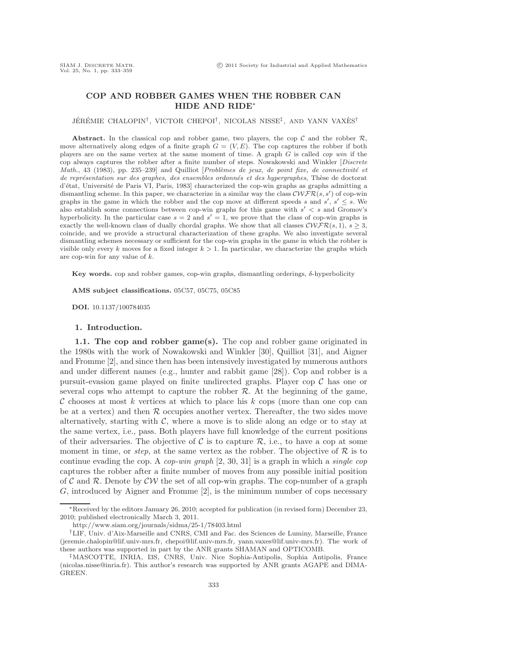## **COP AND ROBBER GAMES WHEN THE ROBBER CAN HIDE AND RIDE**<sup>∗</sup>

JÉRÉMIE CHALOPIN<sup>†</sup>, VICTOR CHEPOI<sup>†</sup>, NICOLAS NISSE<sup>‡</sup>, AND YANN VAXÈS<sup>†</sup>

**Abstract.** In the classical cop and robber game, two players, the cop  $\mathcal{C}$  and the robber  $\mathcal{R}$ , move alternatively along edges of a finite graph  $G = (V, E)$ . The cop captures the robber if both players are on the same vertex at the same moment of time. A graph G is called *cop win* if the cop always captures the robber after a finite number of steps. Nowakowski and Winkler [*Discrete Math.*, 43 (1983), pp. 235–239] and Quilliot [*Problèmes de jeux, de point fixe, de connectivité et de représentation sur des graphes, des ensembles ordonnés et des hypergraphes*, Thèse de doctorat d'état, Université de Paris VI, Paris, 1983] characterized the cop-win graphs as graphs admitting a dismantling scheme. In this paper, we characterize in a similar way the class  $\mathcal{C}\mathcal{WFR}(s, s')$  of cop-win<br>graphs in the game in which the robber and the cop move at different speeds s and s' s' s. We graphs in the game in which the robber and the cop move at different speeds s and s', s'  $\leq$  s. We<br>also establish some connections between con-win graphs for this game with s'  $\leq$  s and Gromov's also establish some connections between cop-win graphs for this game with  $s' < s$  and Gromov's<br>hyperbolicity. In the particular case  $s-2$  and  $s'-1$  we prove that the class of cop-win graphs is hyperbolicity. In the particular case  $s = 2$  and  $s' = 1$ , we prove that the class of cop-win graphs is<br>exactly the well-known class of dually chordal graphs. We show that all classes  $\mathcal{CWFR}(s, 1) \leq 3$ . exactly the well-known class of dually chordal graphs. We show that all classes  $\mathcal{CWFR}(s, 1), s \geq 3$ , coincide, and we provide a structural characterization of these graphs. We also investigate several dismantling schemes necessary or sufficient for the cop-win graphs in the game in which the robber is visible only every k moves for a fixed integer  $k > 1$ . In particular, we characterize the graphs which are cop-win for any value of k.

**Key words.** cop and robber games, cop-win graphs, dismantling orderings, δ-hyperbolicity

**AMS subject classifications.** 05C57, 05C75, 05C85

**DOI.** 10.1137/100784035

## **1. Introduction.**

**1.1. The cop and robber game(s).** The cop and robber game originated in the 1980s with the work of Nowakowski and Winkler [30], Quilliot [31], and Aigner and Fromme [2], and since then has been intensively investigated by numerous authors and under different names (e.g., hunter and rabbit game [28]). Cop and robber is a pursuit-evasion game played on finite undirected graphs. Player cop  $\mathcal C$  has one or several cops who attempt to capture the robber  $R$ . At the beginning of the game, C chooses at most k vertices at which to place his k cops (more than one cop can be at a vertex) and then  $R$  occupies another vertex. Thereafter, the two sides move alternatively, starting with  $C$ , where a move is to slide along an edge or to stay at the same vertex, i.e., pass. Both players have full knowledge of the current positions of their adversaries. The objective of C is to capture  $\mathcal{R}$ , i.e., to have a cop at some moment in time, or *step*, at the same vertex as the robber. The objective of  $\mathcal{R}$  is to continue evading the cop. A *cop-win graph* [2, 30, 31] is a graph in which a *single cop* captures the robber after a finite number of moves from any possible initial position of C and R. Denote by  $\mathcal{CV}$  the set of all cop-win graphs. The cop-number of a graph G, introduced by Aigner and Fromme [2], is the minimum number of cops necessary

<sup>∗</sup>Received by the editors January 26, 2010; accepted for publication (in revised form) December 23, 2010; published electronically March 3, 2011.

http://www.siam.org/journals/sidma/25-1/78403.html

<sup>†</sup>LIF, Univ. d'Aix-Marseille and CNRS, CMI and Fac. des Sciences de Luminy, Marseille, France (jeremie.chalopin@lif.univ-mrs.fr, chepoi@lif.univ-mrs.fr, yann.vaxes@lif.univ-mrs.fr). The work of these authors was supported in part by the ANR grants SHAMAN and OPTICOMB.

<sup>‡</sup>MASCOTTE, INRIA, I3S, CNRS, Univ. Nice Sophia-Antipolis, Sophia Antipolis, France (nicolas.nisse@inria.fr). This author's research was supported by ANR grants AGAPE and DIMA-GREEN.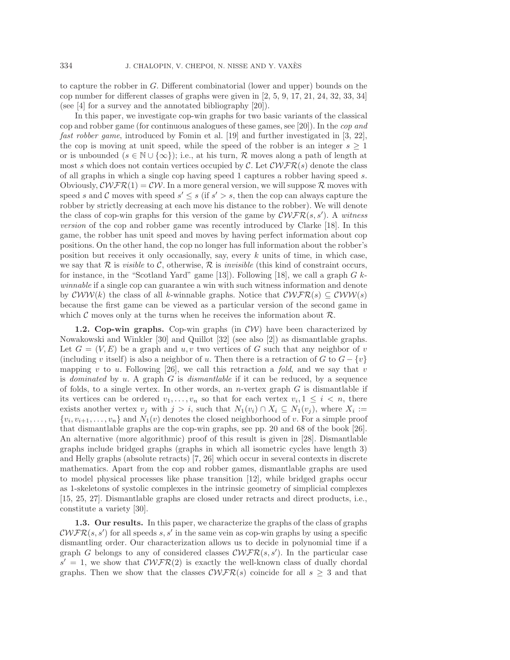to capture the robber in G. Different combinatorial (lower and upper) bounds on the cop number for different classes of graphs were given in [2, 5, 9, 17, 21, 24, 32, 33, 34] (see [4] for a survey and the annotated bibliography [20]).

In this paper, we investigate cop-win graphs for two basic variants of the classical cop and robber game (for continuous analogues of these games, see [20]). In the *cop and fast robber game*, introduced by Fomin et al. [19] and further investigated in [3, 22], the cop is moving at unit speed, while the speed of the robber is an integer  $s \geq 1$ or is unbounded  $(s \in \mathbb{N} \cup \{\infty\})$ ; i.e., at his turn, R moves along a path of length at most s which does not contain vertices occupied by C. Let  $\mathcal{C}\mathcal{WFR}(s)$  denote the class of all graphs in which a single cop having speed 1 captures a robber having speed s. Obviously,  $\mathcal{C}\mathcal{W}\mathcal{F}\mathcal{R}(1) = \mathcal{C}\mathcal{W}$ . In a more general version, we will suppose  $\mathcal{R}$  moves with speed s and C moves with speed  $s' \leq s$  (if  $s' > s$ , then the cop can always capture the robber by strictly decreasing at each move his distance to the robber). We will denote the class of cop-win graphs for this version of the game by  $\mathcal{C}\mathcal{WFR}(s, s')$ . A *witness version* of the cop and robber game was recently introduced by Clarke [18]. In this game, the robber has unit speed and moves by having perfect information about cop positions. On the other hand, the cop no longer has full information about the robber's position but receives it only occasionally, say, every  $k$  units of time, in which case, we say that  $\mathcal R$  is *visible* to  $\mathcal C$ , otherwise,  $\mathcal R$  is *invisible* (this kind of constraint occurs, for instance, in the "Scotland Yard" game [13]). Following [18], we call a graph  $G$   $k$ *winnable* if a single cop can guarantee a win with such witness information and denote by  $\mathcal{CWW}(k)$  the class of all k-winnable graphs. Notice that  $\mathcal{CWFR}(s) \subseteq \mathcal{CWW}(s)$ because the first game can be viewed as a particular version of the second game in which  $\mathcal C$  moves only at the turns when he receives the information about  $\mathcal R$ .

**1.2. Cop-win graphs.** Cop-win graphs (in CW) have been characterized by Nowakowski and Winkler [30] and Quillot [32] (see also [2]) as dismantlable graphs. Let  $G = (V, E)$  be a graph and u, v two vertices of G such that any neighbor of v (including v itself) is also a neighbor of u. Then there is a retraction of G to  $G - \{v\}$ mapping v to u. Following [26], we call this retraction a *fold*, and we say that v is *dominated* by u. A graph G is *dismantlable* if it can be reduced, by a sequence of folds, to a single vertex. In other words, an *n*-vertex graph  $G$  is dismantlable if its vertices can be ordered  $v_1,\ldots,v_n$  so that for each vertex  $v_i, 1 \leq i \leq n$ , there exists another vertex  $v_j$  with  $j > i$ , such that  $N_1(v_i) \cap X_i \subseteq N_1(v_j)$ , where  $X_i :=$  $\{v_i, v_{i+1}, \ldots, v_n\}$  and  $N_1(v)$  denotes the closed neighborhood of v. For a simple proof that dismantlable graphs are the cop-win graphs, see pp. 20 and 68 of the book [26]. An alternative (more algorithmic) proof of this result is given in [28]. Dismantlable graphs include bridged graphs (graphs in which all isometric cycles have length 3) and Helly graphs (absolute retracts) [7, 26] which occur in several contexts in discrete mathematics. Apart from the cop and robber games, dismantlable graphs are used to model physical processes like phase transition [12], while bridged graphs occur as 1-skeletons of systolic complexes in the intrinsic geometry of simplicial complexes [15, 25, 27]. Dismantlable graphs are closed under retracts and direct products, i.e., constitute a variety [30].

**1.3. Our results.** In this paper, we characterize the graphs of the class of graphs  $\mathcal{C}\mathcal{WFR}(s, s')$  for all speeds s, s' in the same vein as cop-win graphs by using a specific dismantling order. Our characterization allows us to decide in polynomial time if a graph G belongs to any of considered classes  $\mathcal{CWFR}(s, s')$ . In the particular case  $s' = 1$ , we show that  $\mathcal{CWFR}(2)$  is exactly the well-known class of dually chordal graphs. Then we show that the classes  $\mathcal{CWFR}(s)$  coincide for all  $s \geq 3$  and that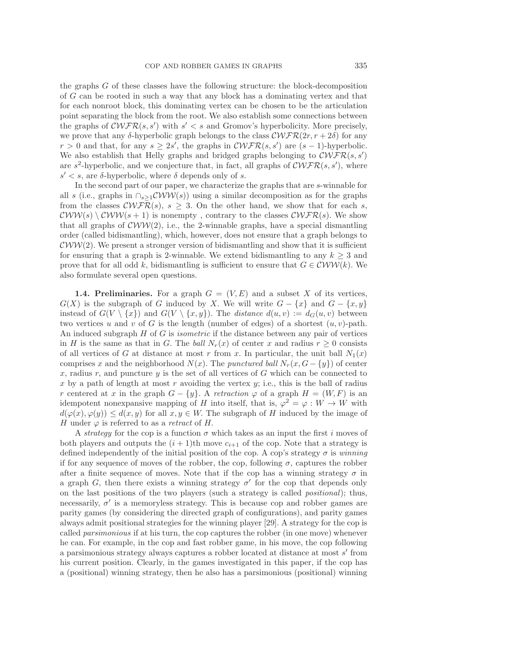the graphs G of these classes have the following structure: the block-decomposition of G can be rooted in such a way that any block has a dominating vertex and that for each nonroot block, this dominating vertex can be chosen to be the articulation point separating the block from the root. We also establish some connections between the graphs of  $\mathcal{C}\mathcal{W}\mathcal{F}\mathcal{R}(s, s')$  with  $s' < s$  and Gromov's hyperbolicity. More precisely, we prove that any  $\delta$ -hyperbolic graph belongs to the class  $\mathcal{CWFR}(2r, r+2\delta)$  for any  $r > 0$  and that, for any  $s \geq 2s'$ , the graphs in  $\mathcal{CWFR}(s, s')$  are  $(s-1)$ -hyperbolic. We also establish that Helly graphs and bridged graphs belonging to  $\mathcal{CWFR}(s, s')$ are  $s^2$ -hyperbolic, and we conjecture that, in fact, all graphs of  $\mathcal{CWFR}(s, s')$ , where s'  $\leq$  s, are δ-hyperbolic, where δ depends only of s.

In the second part of our paper, we characterize the graphs that are s-winnable for all s (i.e., graphs in  $\cap_{s>1}$ CWW(s)) using a similar decomposition as for the graphs from the classes  $\mathcal{C}\mathcal{WFR}(s), s \geq 3$ . On the other hand, we show that for each s,  $\mathcal{C}WW(s) \setminus \mathcal{C}WW(s+1)$  is nonempty, contrary to the classes  $\mathcal{C}WFR(s)$ . We show that all graphs of  $\mathcal{CWW}(2)$ , i.e., the 2-winnable graphs, have a special dismantling order (called bidismantling), which, however, does not ensure that a graph belongs to  $\mathcal{C}WW(2)$ . We present a stronger version of bidismantling and show that it is sufficient for ensuring that a graph is 2-winnable. We extend bidismantling to any  $k \geq 3$  and prove that for all odd k, bidismantling is sufficient to ensure that  $G \in \mathcal{C}WW(k)$ . We also formulate several open questions.

**1.4. Preliminaries.** For a graph  $G = (V, E)$  and a subset X of its vertices,  $G(X)$  is the subgraph of G induced by X. We will write  $G - \{x\}$  and  $G - \{x, y\}$ instead of  $G(V \setminus \{x\})$  and  $G(V \setminus \{x, y\})$ . The *distance*  $d(u, v) := d_G(u, v)$  between two vertices u and v of G is the length (number of edges) of a shortest  $(u, v)$ -path. An induced subgraph H of G is *isometric* if the distance between any pair of vertices in H is the same as that in G. The *ball*  $N_r(x)$  of center x and radius  $r \geq 0$  consists of all vertices of G at distance at most r from x. In particular, the unit ball  $N_1(x)$ comprises x and the neighborhood  $N(x)$ . The *punctured ball*  $N_r(x, G - \{y\})$  of center x, radius r, and puncture y is the set of all vertices of G which can be connected to x by a path of length at most r avoiding the vertex  $y$ ; i.e., this is the ball of radius r centered at x in the graph  $G - \{y\}$ . A *retraction*  $\varphi$  of a graph  $H = (W, F)$  is an idempotent nonexpansive mapping of H into itself, that is,  $\varphi^2 = \varphi : W \to W$  with  $d(\varphi(x), \varphi(y)) \leq d(x, y)$  for all  $x, y \in W$ . The subgraph of H induced by the image of H under  $\varphi$  is referred to as a *retract* of H.

A *strategy* for the cop is a function  $\sigma$  which takes as an input the first i moves of both players and outputs the  $(i + 1)$ th move  $c_{i+1}$  of the cop. Note that a strategy is defined independently of the initial position of the cop. A cop's strategy  $\sigma$  is *winning* if for any sequence of moves of the robber, the cop, following  $\sigma$ , captures the robber after a finite sequence of moves. Note that if the cop has a winning strategy  $\sigma$  in a graph G, then there exists a winning strategy  $\sigma'$  for the cop that depends only on the last positions of the two players (such a strategy is called *positional*); thus, necessarily,  $\sigma'$  is a memoryless strategy. This is because cop and robber games are parity games (by considering the directed graph of configurations), and parity games always admit positional strategies for the winning player [29]. A strategy for the cop is called *parsimonious* if at his turn, the cop captures the robber (in one move) whenever he can. For example, in the cop and fast robber game, in his move, the cop following a parsimonious strategy always captures a robber located at distance at most s' from his current position. Clearly, in the games investigated in this paper, if the cop has a (positional) winning strategy, then he also has a parsimonious (positional) winning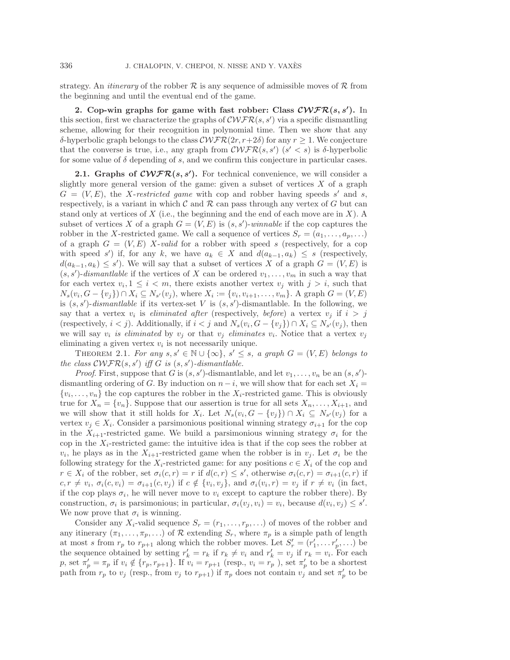strategy. An *itinerary* of the robber  $R$  is any sequence of admissible moves of  $R$  from the beginning and until the eventual end of the game.

**2. Cop-win graphs for game with fast robber: Class** *CWFR***(***s, s-* **).** In this section, first we characterize the graphs of  $\mathcal{CWFR}(s, s')$  via a specific dismantling scheme, allowing for their recognition in polynomial time. Then we show that any δ-hyperbolic graph belongs to the class  $\mathcal{CWFR}(2r, r+2δ)$  for any  $r \geq 1$ . We conjecture that the converse is true, i.e., any graph from  $\mathcal{C}\mathcal{WFR}(s, s')$  ( $s' < s$ ) is  $\delta$ -hyperbolic for some value of  $\delta$  depending of s, and we confirm this conjecture in particular cases.

**2.1.** Graphs of  $\mathcal{C}\mathcal{WFR}(s, s')$ . For technical convenience, we will consider a slightly more general version of the game: given a subset of vertices  $X$  of a graph  $G = (V, E)$ , the X-restricted game with cop and robber having speeds s' and s, respectively, is a variant in which  $\mathcal C$  and  $\mathcal R$  can pass through any vertex of G but can stand only at vertices of  $X$  (i.e., the beginning and the end of each move are in  $X$ ). A subset of vertices X of a graph  $G = (V, E)$  is  $(s, s')$ -*winnable* if the cop captures the robber in the X-restricted game. We call a sequence of vertices  $S_r = (a_1, \ldots, a_p, \ldots)$ of a graph  $G = (V, E)$  X-valid for a robber with speed s (respectively, for a cop with speed s') if, for any k, we have  $a_k \in X$  and  $d(a_{k-1}, a_k) \leq s$  (respectively,  $d(a_{k-1}, a_k) \leq s'$ ). We will say that a subset of vertices X of a graph  $G = (V, E)$  is  $(s, s')$ -dismantlable if the vertices of X can be ordered  $v_1, \ldots, v_m$  in such a way that for each vertex  $v_i, 1 \leq i < m$ , there exists another vertex  $v_j$  with  $j > i$ , such that  $N_s(v_i, G - \{v_j\}) \cap X_i \subseteq N_{s'}(v_j)$ , where  $X_i := \{v_i, v_{i+1}, \ldots, v_m\}$ . A graph  $G = (V, E)$ is  $(s, s')$ -dismantlable if its vertex-set V is  $(s, s')$ -dismantlable. In the following, we say that a vertex  $v_i$  is *eliminated after* (respectively, *before*) a vertex  $v_j$  if  $i > j$ (respectively,  $i < j$ ). Additionally, if  $i < j$  and  $N_s(v_i, G - \{v_j\}) \cap X_i \subseteq N_{s'}(v_j)$ , then we will say  $v_i$  *is eliminated* by  $v_j$  or that  $v_j$  *eliminates*  $v_i$ . Notice that a vertex  $v_j$ eliminating a given vertex  $v_i$  is not necessarily unique.

THEOREM 2.1. *For any*  $s, s' \in \mathbb{N} \cup \{\infty\}, s' \leq s$ , a graph  $G = (V, E)$  *belongs to the class*  $\mathcal{C}\mathcal{WFR}(s, s')$  *iff*  $G$  *is*  $(s, s')$ -*dismantlable.* 

*Proof.* First, suppose that G is  $(s, s')$ -dismantlable, and let  $v_1, \ldots, v_n$  be an  $(s, s')$ dismantling ordering of G. By induction on  $n - i$ , we will show that for each set  $X_i =$  $\{v_i,\ldots,v_n\}$  the cop captures the robber in the  $X_i$ -restricted game. This is obviously true for  $X_n = \{v_n\}$ . Suppose that our assertion is true for all sets  $X_n, \ldots, X_{i+1}$ , and we will show that it still holds for  $X_i$ . Let  $N_s(v_i, G - \{v_j\}) \cap X_i \subseteq N_{s'}(v_j)$  for a vertex  $v_i \in X_i$ . Consider a parsimonious positional winning strategy  $\sigma_{i+1}$  for the cop in the  $X_{i+1}$ -restricted game. We build a parsimonious winning strategy  $\sigma_i$  for the cop in the  $X_i$ -restricted game: the intuitive idea is that if the cop sees the robber at  $v_i$ , he plays as in the  $X_{i+1}$ -restricted game when the robber is in  $v_j$ . Let  $\sigma_i$  be the following strategy for the  $X_i$ -restricted game: for any positions  $c \in X_i$  of the cop and  $r \in X_i$  of the robber, set  $\sigma_i(c,r) = r$  if  $d(c,r) \leq s'$ , otherwise  $\sigma_i(c,r) = \sigma_{i+1}(c,r)$  if  $c, r \neq v_i, \sigma_i(c, v_i) = \sigma_{i+1}(c, v_j)$  if  $c \notin \{v_i, v_j\}$ , and  $\sigma_i(v_i, r) = v_j$  if  $r \neq v_i$  (in fact, if the cop plays  $\sigma_i$ , he will never move to  $v_i$  except to capture the robber there). By construction,  $\sigma_i$  is parsimonious; in particular,  $\sigma_i(v_j, v_i) = v_i$ , because  $d(v_i, v_j) \leq s'$ . We now prove that  $\sigma_i$  is winning.

Consider any  $X_i$ -valid sequence  $S_r = (r_1, \ldots, r_p, \ldots)$  of moves of the robber and any itinerary  $(\pi_1,\ldots,\pi_p,\ldots)$  of R extending  $S_r$ , where  $\pi_p$  is a simple path of length at most s from  $r_p$  to  $r_{p+1}$  along which the robber moves. Let  $S'_r = (r'_1, \ldots r'_p, \ldots)$  be the sequence obtained by setting  $r'_k = r_k$  if  $r_k \neq v_i$  and  $r'_k = v_j$  if  $r_k = v_i$ . For each p, set  $\pi'_p = \pi_p$  if  $v_i \notin \{r_p, r_{p+1}\}$ . If  $v_i = r_{p+1}$  (resp.,  $v_i = r_p$  ), set  $\pi'_p$  to be a shortest path from  $r_p$  to  $v_j$  (resp., from  $v_j$  to  $r_{p+1}$ ) if  $\pi_p$  does not contain  $v_j$  and set  $\pi'_p$  to be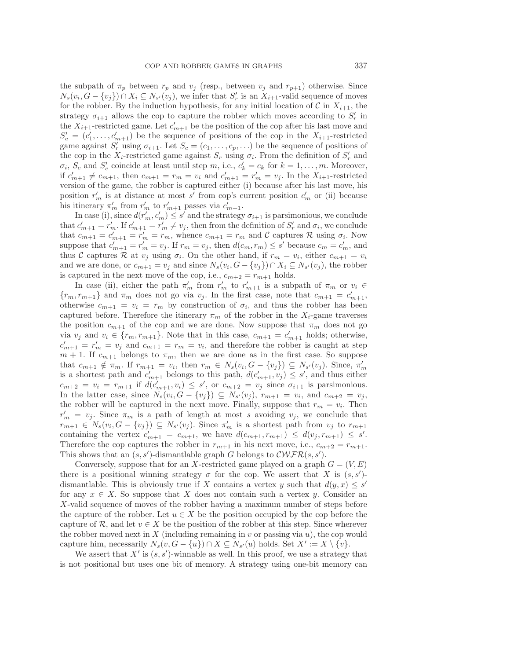the subpath of  $\pi_p$  between  $r_p$  and  $v_j$  (resp., between  $v_j$  and  $r_{p+1}$ ) otherwise. Since  $N_s(v_i, G - \{v_j\}) \cap X_i \subseteq N_{s'}(v_j)$ , we infer that  $S'_r$  is an  $X_{i+1}$ -valid sequence of moves for the robber. By the induction hypothesis, for any initial location of  $\mathcal C$  in  $X_{i+1}$ , the strategy  $\sigma_{i+1}$  allows the cop to capture the robber which moves according to  $S'_r$  in the  $X_{i+1}$ -restricted game. Let  $c'_{m+1}$  be the position of the cop after his last move and  $S'_{c} = (c'_{1}, \ldots, c'_{m+1})$  be the sequence of positions of the cop in the  $X_{i+1}$ -restricted game against  $S'_r$  using  $\sigma_{i+1}$ . Let  $S_c = (c_1, \ldots, c_p, \ldots)$  be the sequence of positions of the cop in the  $X_i$ -restricted game against  $S_r$  using  $\sigma_i$ . From the definition of  $S'_r$  and  $\sigma_i$ ,  $S_c$  and  $S_c'$  coincide at least until step m, i.e.,  $c_k' = c_k$  for  $k = 1, \ldots, m$ . Moreover, if  $c'_{m+1} \neq c_{m+1}$ , then  $c_{m+1} = r_m = v_i$  and  $c'_{m+1} = r'_m = v_j$ . In the  $X_{i+1}$ -restricted version of the game, the robber is captured either (i) because after his last move, his position  $r'_m$  is at distance at most s' from cop's current position  $c'_m$  or (ii) because his itinerary  $\pi'_m$  from  $r'_m$  to  $r'_{m+1}$  passes via  $c'_{m+1}$ .

In case (i), since  $d(r'_m, c'_m) \leq s'$  and the strategy  $\sigma_{i+1}$  is parsimonious, we conclude that  $c'_{m+1} = r'_m$ . If  $c'_{m+1} = r'_m \neq v_j$ , then from the definition of  $S'_r$  and  $\sigma_i$ , we conclude that  $c_{m+1} = c'_{m+1} = r'_m = r_m$ , whence  $c_{m+1} = r_m$  and  $C$  captures  $R$  using  $\sigma_i$ . Now suppose that  $c'_{m+1} = r'_m = v_j$ . If  $r_m = v_j$ , then  $d(c_m, r_m) \le s'$  because  $c_m = c'_m$ , and thus C captures R at  $v_j$  using  $\sigma_i$ . On the other hand, if  $r_m = v_i$ , either  $c_{m+1} = v_i$ and we are done, or  $c_{m+1} = v_j$  and since  $N_s(v_i, G - \{v_j\}) \cap X_i \subseteq N_{s'}(v_j)$ , the robber is captured in the next move of the cop, i.e.,  $c_{m+2} = r_{m+1}$  holds.

In case (ii), either the path  $\pi'_m$  from  $r'_m$  to  $r'_{m+1}$  is a subpath of  $\pi_m$  or  $v_i \in$  ${r_m, r_{m+1}}$  and  $\pi_m$  does not go via  $v_j$ . In the first case, note that  $c_{m+1} = c'_{m+1}$ , otherwise  $c_{m+1} = v_i = r_m$  by construction of  $\sigma_i$ , and thus the robber has been captured before. Therefore the itinerary  $\pi_m$  of the robber in the  $X_i$ -game traverses the position  $c_{m+1}$  of the cop and we are done. Now suppose that  $\pi_m$  does not go via  $v_j$  and  $v_i \in \{r_m, r_{m+1}\}.$  Note that in this case,  $c_{m+1} = c'_{m+1}$  holds; otherwise,  $c'_{m+1} = r'_m = v_j$  and  $c_{m+1} = r_m = v_i$ , and therefore the robber is caught at step  $m + 1$ . If  $c_{m+1}$  belongs to  $\pi_m$ , then we are done as in the first case. So suppose that  $c_{m+1} \notin \pi_m$ . If  $r_{m+1} = v_i$ , then  $r_m \in N_s(v_i, G - \{v_j\}) \subseteq N_{s'}(v_j)$ . Since,  $\pi'_m$ is a shortest path and  $c'_{m+1}$  belongs to this path,  $d(c'_{m+1}, v_j) \leq s'$ , and thus either  $c_{m+2} = v_i = r_{m+1}$  if  $d(c'_{m+1}, v_i) \leq s'$ , or  $c_{m+2} = v_j$  since  $\sigma_{i+1}$  is parsimonious. In the latter case, since  $N_s(v_i, G - \{v_j\}) \subseteq N_{s'}(v_j), r_{m+1} = v_i$ , and  $c_{m+2} = v_j$ , the robber will be captured in the next move. Finally, suppose that  $r_m = v_i$ . Then  $r'_m = v_j$ . Since  $\pi_m$  is a path of length at most s avoiding  $v_j$ , we conclude that  $r_{m+1} \in N_s(v_i, G - \{v_j\}) \subseteq N_{s'}(v_j)$ . Since  $\pi'_m$  is a shortest path from  $v_j$  to  $r_{m+1}$ containing the vertex  $c'_{m+1} = c_{m+1}$ , we have  $d(c_{m+1}, r_{m+1}) \leq d(v_j, r_{m+1}) \leq s'$ . Therefore the cop captures the robber in  $r_{m+1}$  in his next move, i.e.,  $c_{m+2} = r_{m+1}$ . This shows that an  $(s, s')$ -dismantlable graph G belongs to  $\mathcal{CWFR}(s, s')$ .

Conversely, suppose that for an X-restricted game played on a graph  $G = (V, E)$ there is a positional winning strategy  $\sigma$  for the cop. We assert that X is  $(s, s')$ dismantlable. This is obviously true if X contains a vertex y such that  $d(y, x) \leq s'$ for any  $x \in X$ . So suppose that X does not contain such a vertex y. Consider an X-valid sequence of moves of the robber having a maximum number of steps before the capture of the robber. Let  $u \in X$  be the position occupied by the cop before the capture of R, and let  $v \in X$  be the position of the robber at this step. Since wherever the robber moved next in X (including remaining in v or passing via  $u$ ), the cop would capture him, necessarily  $N_s(v, G - \{u\}) \cap X \subseteq N_{s'}(u)$  holds. Set  $X' := X \setminus \{v\}.$ 

We assert that  $X'$  is  $(s, s')$ -winnable as well. In this proof, we use a strategy that is not positional but uses one bit of memory. A strategy using one-bit memory can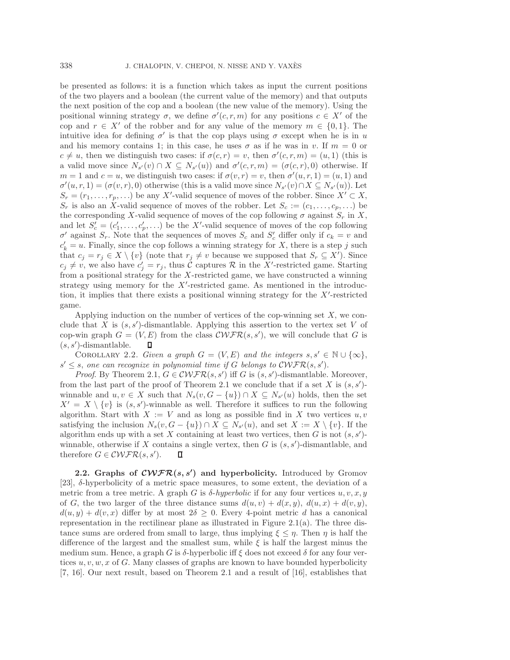be presented as follows: it is a function which takes as input the current positions of the two players and a boolean (the current value of the memory) and that outputs the next position of the cop and a boolean (the new value of the memory). Using the positional winning strategy  $\sigma$ , we define  $\sigma'(c, r, m)$  for any positions  $c \in X'$  of the cop and  $r \in X'$  of the robber and for any value of the memory  $m \in \{0,1\}$ . The intuitive idea for defining  $\sigma'$  is that the cop plays using  $\sigma$  except when he is in u and his memory contains 1; in this case, he uses  $\sigma$  as if he was in v. If  $m = 0$  or  $c \neq u$ , then we distinguish two cases: if  $\sigma(c, r) = v$ , then  $\sigma'(c, r, m) = (u, 1)$  (this is a valid move since  $N_{s'}(v) \cap X \subseteq N_{s'}(u)$  and  $\sigma'(c, r, m) = (\sigma(c, r), 0)$  otherwise. If  $m = 1$  and  $c = u$ , we distinguish two cases: if  $\sigma(v, r) = v$ , then  $\sigma'(u, r, 1) = (u, 1)$  and  $\sigma'(u,r,1) = (\sigma(v,r),0)$  otherwise (this is a valid move since  $N_{s'}(v) \cap X \subseteq N_{s'}(u)$ ). Let  $S_r = (r_1, \ldots, r_p, \ldots)$  be any X'-valid sequence of moves of the robber. Since  $X' \subset X$ ,  $S_r$  is also an X-valid sequence of moves of the robber. Let  $S_c := (c_1, \ldots, c_p, \ldots)$  be the corresponding X-valid sequence of moves of the cop following  $\sigma$  against  $S_r$  in X, and let  $S'_c = (c'_1, \ldots, c'_p, \ldots)$  be the X'-valid sequence of moves of the cop following  $\sigma'$  against  $S_r$ . Note that the sequences of moves  $S_c$  and  $S_c'$  differ only if  $c_k = v$  and  $c'_{k} = u$ . Finally, since the cop follows a winning strategy for X, there is a step j such that  $c_j = r_j \in X \setminus \{v\}$  (note that  $r_j \neq v$  because we supposed that  $S_r \subseteq X'$ ). Since  $c_j \neq v$ , we also have  $c'_j = r_j$ , thus C captures R in the X'-restricted game. Starting from a positional strategy for the X-restricted game, we have constructed a winning strategy using memory for the  $X'$ -restricted game. As mentioned in the introduction, it implies that there exists a positional winning strategy for the  $X'$ -restricted game.

Applying induction on the number of vertices of the cop-winning set  $X$ , we conclude that X is  $(s, s')$ -dismantlable. Applying this assertion to the vertex set V of cop-win graph  $G = (V, E)$  from the class  $\mathcal{CWFR}(s, s')$ , we will conclude that G is  $(s, s')$ -dismantlable.  $\Box$ 

COROLLARY 2.2. *Given a graph*  $G = (V, E)$  *and the integers*  $s, s' \in \mathbb{N} \cup \{\infty\},$  $s' \leq s$ , one can recognize in polynomial time if G belongs to  $\mathcal{C}\mathcal{WFR}(s, s')$ .

*Proof.* By Theorem 2.1,  $G \in \mathcal{CWFR}(s, s')$  iff G is  $(s, s')$ -dismantlable. Moreover, from the last part of the proof of Theorem 2.1 we conclude that if a set X is  $(s, s')$ winnable and  $u, v \in X$  such that  $N_s(v, G - \{u\}) \cap X \subseteq N_{s'}(u)$  holds, then the set  $X' = X \setminus \{v\}$  is  $(s, s')$ -winnable as well. Therefore it suffices to run the following algorithm. Start with  $X := V$  and as long as possible find in X two vertices  $u, v$ satisfying the inclusion  $N_s(v, G - \{u\}) \cap X \subseteq N_{s'}(u)$ , and set  $X := X \setminus \{v\}$ . If the algorithm ends up with a set X containing at least two vertices, then  $G$  is not  $(s, s')$ winnable, otherwise if X contains a single vertex, then  $G$  is  $(s, s')$ -dismantlable, and therefore  $G \in \mathcal{C}\mathcal{WFR}(s, s').$ П

**2.2. Graphs of** *CWFR***(***s, s-* **) and hyperbolicity.** Introduced by Gromov [23],  $\delta$ -hyperbolicity of a metric space measures, to some extent, the deviation of a metric from a tree metric. A graph G is  $\delta$ -*hyperbolic* if for any four vertices u, v, x, y of G, the two larger of the three distance sums  $d(u, v) + d(x, y)$ ,  $d(u, x) + d(v, y)$ ,  $d(u, y) + d(v, x)$  differ by at most  $2\delta \geq 0$ . Every 4-point metric d has a canonical representation in the rectilinear plane as illustrated in Figure 2.1(a). The three distance sums are ordered from small to large, thus implying  $\xi \leq \eta$ . Then  $\eta$  is half the difference of the largest and the smallest sum, while  $\xi$  is half the largest minus the medium sum. Hence, a graph G is  $\delta$ -hyperbolic iff  $\xi$  does not exceed  $\delta$  for any four vertices  $u, v, w, x$  of G. Many classes of graphs are known to have bounded hyperbolicity [7, 16]. Our next result, based on Theorem 2.1 and a result of [16], establishes that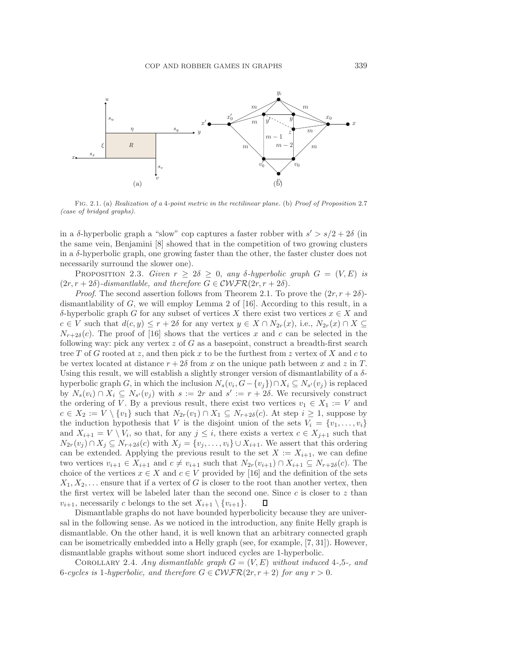

Fig. 2.1. (a) *Realization of a* 4*-point metric in the rectilinear plane.* (b) *Proof of Proposition* 2.7 *(case of bridged graphs).*

in a δ-hyperbolic graph a "slow" cop captures a faster robber with  $s' > s/2 + 2\delta$  (in the same vein, Benjamini [8] showed that in the competition of two growing clusters in a  $\delta$ -hyperbolic graph, one growing faster than the other, the faster cluster does not necessarily surround the slower one).

PROPOSITION 2.3. *Given*  $r \geq 2\delta \geq 0$ , *any*  $\delta$ -*hyperbolic graph*  $G = (V, E)$  *is*  $(2r, r + 2\delta)$ -dismantlable, and therefore  $G \in \mathcal{CWFR}(2r, r + 2\delta)$ .

*Proof.* The second assertion follows from Theorem 2.1. To prove the  $(2r, r + 2\delta)$ dismantlability of  $G$ , we will employ Lemma 2 of [16]. According to this result, in a δ-hyperbolic graph G for any subset of vertices X there exist two vertices x ∈ X and  $c \in V$  such that  $d(c, y) \leq r + 2\delta$  for any vertex  $y \in X \cap N_{2r}(x)$ , i.e.,  $N_{2r}(x) \cap X \subseteq$  $N_{r+2\delta}(c)$ . The proof of [16] shows that the vertices x and c can be selected in the following way: pick any vertex z of G as a basepoint, construct a breadth-first search tree T of G rooted at z, and then pick x to be the furthest from z vertex of X and c to be vertex located at distance  $r + 2\delta$  from x on the unique path between x and z in T. Using this result, we will establish a slightly stronger version of dismantlability of a  $\delta$ hyperbolic graph G, in which the inclusion  $N_s(v_i, G - \{v_j\}) \cap X_i \subseteq N_{s'}(v_j)$  is replaced by  $N_s(v_i) \cap X_i \subseteq N_{s'}(v_j)$  with  $s := 2r$  and  $s' := r + 2\delta$ . We recursively construct the ordering of V. By a previous result, there exist two vertices  $v_1 \in X_1 := V$  and  $c \in X_2 := V \setminus \{v_1\}$  such that  $N_{2r}(v_1) \cap X_1 \subseteq N_{r+2\delta}(c)$ . At step  $i \geq 1$ , suppose by the induction hypothesis that V is the disjoint union of the sets  $V_i = \{v_1, \ldots, v_i\}$ and  $X_{i+1} = V \setminus V_i$ , so that, for any  $j \leq i$ , there exists a vertex  $c \in X_{j+1}$  such that  $N_{2r}(v_j) \cap X_j \subseteq N_{r+2\delta}(c)$  with  $X_j = \{v_j,\ldots,v_i\} \cup X_{i+1}$ . We assert that this ordering can be extended. Applying the previous result to the set  $X := X_{i+1}$ , we can define two vertices  $v_{i+1} \in X_{i+1}$  and  $c \neq v_{i+1}$  such that  $N_{2r}(v_{i+1}) \cap X_{i+1} \subseteq N_{r+2\delta}(c)$ . The choice of the vertices  $x \in X$  and  $c \in V$  provided by [16] and the definition of the sets  $X_1, X_2, \ldots$  ensure that if a vertex of G is closer to the root than another vertex, then the first vertex will be labeled later than the second one. Since  $c$  is closer to  $z$  than  $v_{i+1}$ , necessarily c belongs to the set  $X_{i+1} \setminus \{v_{i+1}\}.$ Л

Dismantlable graphs do not have bounded hyperbolicity because they are universal in the following sense. As we noticed in the introduction, any finite Helly graph is dismantlable. On the other hand, it is well known that an arbitrary connected graph can be isometrically embedded into a Helly graph (see, for example, [7, 31]). However, dismantlable graphs without some short induced cycles are 1-hyperbolic.

COROLLARY 2.4. *Any dismantlable graph*  $G = (V, E)$  *without induced* 4-,5-, and 6*-cycles is* 1*-hyperbolic, and therefore*  $G \in \mathcal{CWFR}(2r, r+2)$  *for any*  $r > 0$ .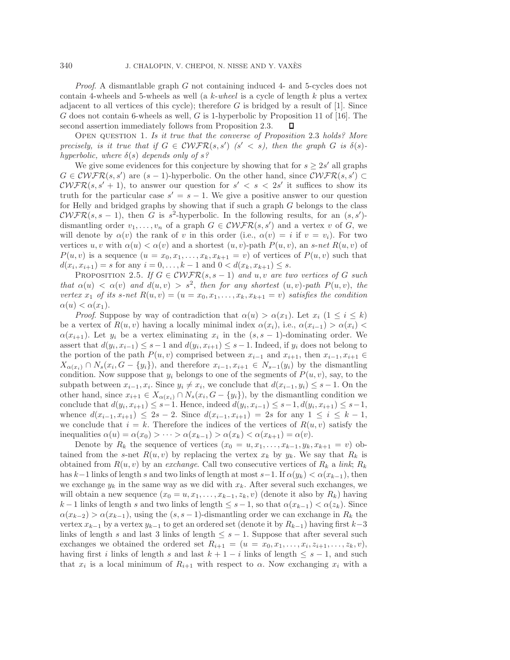*Proof*. A dismantlable graph G not containing induced 4- and 5-cycles does not contain 4-wheels and 5-wheels as well (a k-*wheel* is a cycle of length k plus a vertex adjacent to all vertices of this cycle); therefore  $G$  is bridged by a result of [1]. Since G does not contain 6-wheels as well, G is 1-hyperbolic by Proposition 11 of [16]. The second assertion immediately follows from Proposition 2.3.  $\Box$ 

Open question 1. *Is it true that the converse of Proposition* 2.3 *holds? More precisely, is it true that if*  $G \in \mathcal{C}\mathcal{WFR}(s, s')$   $(s' < s)$ , then the graph  $G$  *is*  $\delta(s)$ *hyperbolic, where*  $\delta(s)$  *depends only of*  $s$ ?

We give some evidences for this conjecture by showing that for  $s \geq 2s'$  all graphs  $G \in \mathcal{C}\mathcal{WFR}(s, s')$  are  $(s-1)$ -hyperbolic. On the other hand, since  $\mathcal{C}\mathcal{WFR}(s, s') \subset$  $\mathcal{C}\mathcal{WFR}(s, s' + 1)$ , to answer our question for  $s' < s < 2s'$  it suffices to show its truth for the particular case  $s' = s - 1$ . We give a positive answer to our question for Helly and bridged graphs by showing that if such a graph G belongs to the class  $\mathcal{C}\mathcal{WFR}(s, s-1)$ , then G is s<sup>2</sup>-hyperbolic. In the following results, for an  $(s, s')$ dismantling order  $v_1, \ldots, v_n$  of a graph  $G \in \mathcal{CWFR}(s, s')$  and a vertex v of G, we will denote by  $\alpha(v)$  the rank of v in this order (i.e.,  $\alpha(v) = i$  if  $v = v_i$ ). For two vertices u, v with  $\alpha(u) < \alpha(v)$  and a shortest  $(u, v)$ -path  $P(u, v)$ , an s-net  $R(u, v)$  of  $P(u, v)$  is a sequence  $(u = x_0, x_1, \ldots, x_k, x_{k+1} = v)$  of vertices of  $P(u, v)$  such that  $d(x_i, x_{i+1}) = s$  for any  $i = 0, \ldots, k-1$  and  $0 < d(x_k, x_{k+1}) \leq s$ .

PROPOSITION 2.5. *If*  $G \in \mathcal{CWFR}(s, s-1)$  *and*  $u, v$  *are two vertices of*  $G$  *such that*  $\alpha(u) < \alpha(v)$  *and*  $d(u, v) > s^2$ , *then for any shortest*  $(u, v)$ -path  $P(u, v)$ , *the vertex*  $x_1$  *of its* s-net  $R(u, v) = (u = x_0, x_1, \ldots, x_k, x_{k+1} = v)$  satisfies the condition  $\alpha(u) < \alpha(x_1)$ .

*Proof.* Suppose by way of contradiction that  $\alpha(u) > \alpha(x_1)$ . Let  $x_i$   $(1 \leq i \leq k)$ be a vertex of  $R(u, v)$  having a locally minimal index  $\alpha(x_i)$ , i.e.,  $\alpha(x_{i-1}) > \alpha(x_i)$  $\alpha(x_{i+1})$ . Let  $y_i$  be a vertex eliminating  $x_i$  in the  $(s, s-1)$ -dominating order. We assert that  $d(y_i, x_{i-1}) \leq s-1$  and  $d(y_i, x_{i+1}) \leq s-1$ . Indeed, if  $y_i$  does not belong to the portion of the path  $P(u, v)$  comprised between  $x_{i-1}$  and  $x_{i+1}$ , then  $x_{i-1}, x_{i+1} \in$  $X_{\alpha(x_i)} \cap N_s(x_i, G - \{y_i\})$ , and therefore  $x_{i-1}, x_{i+1} \in N_{s-1}(y_i)$  by the dismantling condition. Now suppose that  $y_i$  belongs to one of the segments of  $P(u, v)$ , say, to the subpath between  $x_{i-1}, x_i$ . Since  $y_i \neq x_i$ , we conclude that  $d(x_{i-1}, y_i) \leq s - 1$ . On the other hand, since  $x_{i+1} \in X_{\alpha(x_i)} \cap N_s(x_i, G - \{y_i\})$ , by the dismantling condition we conclude that  $d(y_i, x_{i+1})$  ≤ s−1. Hence, indeed  $d(y_i, x_{i-1})$  ≤ s−1,  $d(y_i, x_{i+1})$  ≤ s−1, whence  $d(x_{i-1}, x_{i+1}) \leq 2s - 2$ . Since  $d(x_{i-1}, x_{i+1}) = 2s$  for any  $1 \leq i \leq k - 1$ , we conclude that  $i = k$ . Therefore the indices of the vertices of  $R(u, v)$  satisfy the inequalities  $\alpha(u) = \alpha(x_0) > \cdots > \alpha(x_{k-1}) > \alpha(x_k) < \alpha(x_{k+1}) = \alpha(v)$ .

Denote by  $R_k$  the sequence of vertices  $(x_0 = u, x_1, \ldots, x_{k-1}, y_k, x_{k+1} = v)$  obtained from the s-net  $R(u, v)$  by replacing the vertex  $x_k$  by  $y_k$ . We say that  $R_k$  is obtained from  $R(u, v)$  by an *exchange*. Call two consecutive vertices of  $R_k$  a *link*;  $R_k$ has k−1 links of length s and two links of length at most s−1. If  $\alpha(y_k) < \alpha(x_{k-1})$ , then we exchange  $y_k$  in the same way as we did with  $x_k$ . After several such exchanges, we will obtain a new sequence  $(x_0 = u, x_1, \ldots, x_{k-1}, z_k, v)$  (denote it also by  $R_k$ ) having  $k-1$  links of length s and two links of length  $\leq s-1$ , so that  $\alpha(x_{k-1}) < \alpha(z_k)$ . Since  $\alpha(x_{k-2}) > \alpha(x_{k-1}),$  using the  $(s, s-1)$ -dismantling order we can exchange in  $R_k$  the vertex  $x_{k-1}$  by a vertex  $y_{k-1}$  to get an ordered set (denote it by  $R_{k-1}$ ) having first  $k-3$ links of length s and last 3 links of length  $\leq s - 1$ . Suppose that after several such exchanges we obtained the ordered set  $R_{i+1} = (u = x_0, x_1, \ldots, x_i, z_{i+1}, \ldots, z_k, v)$ , having first i links of length s and last  $k + 1 - i$  links of length  $\leq s - 1$ , and such that  $x_i$  is a local minimum of  $R_{i+1}$  with respect to  $\alpha$ . Now exchanging  $x_i$  with a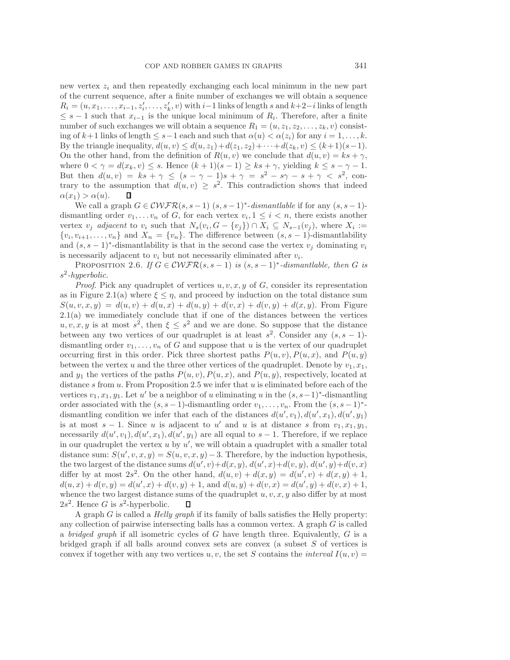new vertex  $z_i$  and then repeatedly exchanging each local minimum in the new part of the current sequence, after a finite number of exchanges we will obtain a sequence  $R_i = (u, x_1, \ldots, x_{i-1}, z'_i, \ldots, z'_k, v)$  with  $i-1$  links of length s and  $k+2-i$  links of length  $\leq$  s − 1 such that  $x_{i-1}$  is the unique local minimum of  $R_i$ . Therefore, after a finite number of such exchanges we will obtain a sequence  $R_1 = (u, z_1, z_2, \ldots, z_k, v)$  consisting of  $k+1$  links of length  $\leq s-1$  each and such that  $\alpha(u) < \alpha(z_i)$  for any  $i = 1, \ldots, k$ . By the triangle inequality,  $d(u, v) \leq d(u, z_1) + d(z_1, z_2) + \cdots + d(z_k, v) \leq (k+1)(s-1)$ . On the other hand, from the definition of  $R(u, v)$  we conclude that  $d(u, v) = ks + \gamma$ , where  $0 < \gamma = d(x_k, v) \leq s$ . Hence  $(k + 1)(s - 1) \geq ks + \gamma$ , yielding  $k \leq s - \gamma - 1$ . But then  $d(u, v) = ks + \gamma \leq (s - \gamma - 1)s + \gamma = s^2 - s\gamma - s + \gamma < s^2$ , contrary to the assumption that  $d(u, v) \geq s^2$ . This contradiction shows that indeed  $\alpha(x_1) > \alpha(u)$ . П

We call a graph  $G \in \mathcal{CWFR}(s, s-1)$   $(s, s-1)^*$ -dismantlable if for any  $(s, s-1)$ dismantling order  $v_1, \ldots v_n$  of G, for each vertex  $v_i, 1 \leq i \leq n$ , there exists another vertex  $v_j$  *adjacent* to  $v_i$  such that  $N_s(v_i, G - \{v_j\}) \cap X_i \subseteq N_{s-1}(v_j)$ , where  $X_i :=$  $\{v_i, v_{i+1}, \ldots, v_n\}$  and  $X_n = \{v_n\}$ . The difference between  $(s, s-1)$ -dismantlability and  $(s, s-1)^*$ -dismantlability is that in the second case the vertex  $v_i$  dominating  $v_i$ is necessarily adjacent to  $v_i$  but not necessarily eliminated after  $v_i$ .

PROPOSITION 2.6. *If*  $G \in \mathcal{CWFR}(s, s-1)$  *is*  $(s, s-1)^*$ *-dismantlable, then* G *is* s<sup>2</sup>*-hyperbolic.*

*Proof.* Pick any quadruplet of vertices  $u, v, x, y$  of  $G$ , consider its representation as in Figure 2.1(a) where  $\xi \leq \eta$ , and proceed by induction on the total distance sum  $S(u, v, x, y) = d(u, v) + d(u, x) + d(u, y) + d(v, x) + d(v, y) + d(x, y)$ . From Figure 2.1(a) we immediately conclude that if one of the distances between the vertices  $u, v, x, y$  is at most  $s^2$ , then  $\xi \leq s^2$  and we are done. So suppose that the distance between any two vertices of our quadruplet is at least  $s^2$ . Consider any  $(s, s - 1)$ dismantling order  $v_1, \ldots, v_n$  of G and suppose that u is the vertex of our quadruplet occurring first in this order. Pick three shortest paths  $P(u, v), P(u, x)$ , and  $P(u, y)$ between the vertex u and the three other vertices of the quadruplet. Denote by  $v_1, x_1$ , and  $y_1$  the vertices of the paths  $P(u, v), P(u, x)$ , and  $P(u, y)$ , respectively, located at distance s from  $u$ . From Proposition 2.5 we infer that  $u$  is eliminated before each of the vertices  $v_1, x_1, y_1$ . Let u' be a neighbor of u eliminating u in the  $(s, s-1)$ <sup>\*</sup>-dismantling order associated with the  $(s, s-1)$ -dismantling order  $v_1, \ldots, v_n$ . From the  $(s, s-1)^*$ dismantling condition we infer that each of the distances  $d(u', v_1), d(u', x_1), d(u', y_1)$ is at most  $s - 1$ . Since u is adjacent to u' and u is at distance s from  $v_1, x_1, y_1$ , necessarily  $d(u', v_1), d(u', x_1), d(u', y_1)$  are all equal to  $s - 1$ . Therefore, if we replace in our quadruplet the vertex  $u$  by  $u'$ , we will obtain a quadruplet with a smaller total distance sum:  $S(u', v, x, y) = S(u, v, x, y) - 3$ . Therefore, by the induction hypothesis, the two largest of the distance sums  $d(u', v) + d(x, y), d(u', x) + d(v, y), d(u', y) + d(v, x)$ differ by at most  $2s^2$ . On the other hand,  $d(u, v) + d(x, y) = d(u', v) + d(x, y) + 1$ ,  $d(u, x) + d(v, y) = d(u', x) + d(v, y) + 1$ , and  $d(u, y) + d(v, x) = d(u', y) + d(v, x) + 1$ , whence the two largest distance sums of the quadruplet  $u, v, x, y$  also differ by at most  $2s<sup>2</sup>$ . Hence G is  $s<sup>2</sup>$ -hyperbolic. п

A graph G is called a *Helly graph* if its family of balls satisfies the Helly property: any collection of pairwise intersecting balls has a common vertex. A graph  $G$  is called a *bridged graph* if all isometric cycles of G have length three. Equivalently, G is a bridged graph if all balls around convex sets are convex (a subset  $S$  of vertices is convex if together with any two vertices  $u, v$ , the set S contains the *interval*  $I(u, v)$  =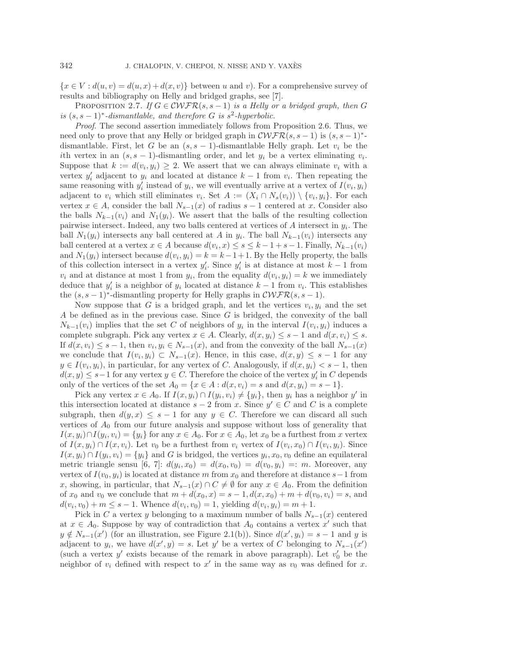${x \in V : d(u, v) = d(u, x) + d(x, v)}$  between u and v). For a comprehensive survey of results and bibliography on Helly and bridged graphs, see [7].

PROPOSITION 2.7. *If*  $G \in \mathcal{CWFR}(s, s-1)$  *is a Helly or a bridged graph, then* G *is*  $(s, s - 1)^*$ *-dismantlable, and therefore* G *is*  $s^2$ *-hyperbolic.* 

*Proof*. The second assertion immediately follows from Proposition 2.6. Thus, we need only to prove that any Helly or bridged graph in  $\mathcal{C}\mathcal{WFR}(s, s-1)$  is  $(s, s-1)^*$ dismantlable. First, let G be an  $(s, s - 1)$ -dismantlable Helly graph. Let  $v_i$  be the ith vertex in an  $(s, s - 1)$ -dismantling order, and let  $y_i$  be a vertex eliminating  $v_i$ . Suppose that  $k := d(v_i, y_i) \geq 2$ . We assert that we can always eliminate  $v_i$  with a vertex  $y_i'$  adjacent to  $y_i$  and located at distance  $k-1$  from  $v_i$ . Then repeating the same reasoning with  $y_i'$  instead of  $y_i$ , we will eventually arrive at a vertex of  $I(v_i, y_i)$ adjacent to  $v_i$  which still eliminates  $v_i$ . Set  $A := (X_i \cap N_s(v_i)) \setminus \{v_i, y_i\}$ . For each vertex  $x \in A$ , consider the ball  $N_{s-1}(x)$  of radius  $s-1$  centered at x. Consider also the balls  $N_{k-1}(v_i)$  and  $N_1(y_i)$ . We assert that the balls of the resulting collection pairwise intersect. Indeed, any two balls centered at vertices of  $A$  intersect in  $y_i$ . The ball  $N_1(y_i)$  intersects any ball centered at A in  $y_i$ . The ball  $N_{k-1}(v_i)$  intersects any ball centered at a vertex  $x \in A$  because  $d(v_i, x) \leq s \leq k - 1 + s - 1$ . Finally,  $N_{k-1}(v_i)$ and  $N_1(y_i)$  intersect because  $d(v_i, y_i) = k = k-1+1$ . By the Helly property, the balls of this collection intersect in a vertex  $y_i'$ . Since  $y_i'$  is at distance at most  $k-1$  from  $v_i$  and at distance at most 1 from  $y_i$ , from the equality  $d(v_i, y_i) = k$  we immediately deduce that  $y_i'$  is a neighbor of  $y_i$  located at distance  $k-1$  from  $v_i$ . This establishes the  $(s, s-1)$ <sup>\*</sup>-dismantling property for Helly graphs in  $\mathcal{CWFR}(s, s-1)$ .

Now suppose that G is a bridged graph, and let the vertices  $v_i, y_i$  and the set  $A$  be defined as in the previous case. Since  $G$  is bridged, the convexity of the ball  $N_{k-1}(v_i)$  implies that the set C of neighbors of  $y_i$  in the interval  $I(v_i, y_i)$  induces a complete subgraph. Pick any vertex  $x \in A$ . Clearly,  $d(x, y_i) \leq s - 1$  and  $d(x, v_i) \leq s$ . If  $d(x, v_i) \leq s - 1$ , then  $v_i, y_i \in N_{s-1}(x)$ , and from the convexity of the ball  $N_{s-1}(x)$ we conclude that  $I(v_i, y_i) \subset N_{s-1}(x)$ . Hence, in this case,  $d(x, y) \leq s - 1$  for any  $y \in I(v_i, y_i)$ , in particular, for any vertex of C. Analogously, if  $d(x, y_i) < s - 1$ , then  $d(x, y) \leq s - 1$  for any vertex  $y \in C$ . Therefore the choice of the vertex  $y_i$  in C depends only of the vertices of the set  $A_0 = \{x \in A : d(x, v_i) = s \text{ and } d(x, y_i) = s - 1\}.$ 

Pick any vertex  $x \in A_0$ . If  $I(x, y_i) \cap I(y_i, v_i) \neq \{y_i\}$ , then  $y_i$  has a neighbor  $y'$  in this intersection located at distance  $s - 2$  from x. Since  $y' \in C$  and C is a complete subgraph, then  $d(y, x) \leq s - 1$  for any  $y \in C$ . Therefore we can discard all such vertices of  $A_0$  from our future analysis and suppose without loss of generality that  $I(x, y_i) \cap I(y_i, v_i) = \{y_i\}$  for any  $x \in A_0$ . For  $x \in A_0$ , let  $x_0$  be a furthest from x vertex of  $I(x, y_i) \cap I(x, v_i)$ . Let  $v_0$  be a furthest from  $v_i$  vertex of  $I(v_i, x_0) \cap I(v_i, y_i)$ . Since  $I(x, y_i) \cap I(y_i, v_i) = \{y_i\}$  and G is bridged, the vertices  $y_i, x_0, v_0$  define an equilateral metric triangle sensu [6, 7]:  $d(y_i, x_0) = d(x_0, v_0) = d(v_0, y_i) =: m$ . Moreover, any vertex of  $I(v_0, y_i)$  is located at distance m from  $x_0$  and therefore at distance s – 1 from x, showing, in particular, that  $N_{s-1}(x) \cap C \neq \emptyset$  for any  $x \in A_0$ . From the definition of  $x_0$  and  $v_0$  we conclude that  $m + d(x_0, x) = s - 1, d(x, x_0) + m + d(v_0, v_i) = s$ , and  $d(v_i, v_0) + m \leq s - 1$ . Whence  $d(v_i, v_0) = 1$ , yielding  $d(v_i, y_i) = m + 1$ .

Pick in C a vertex y belonging to a maximum number of balls  $N_{s-1}(x)$  centered at  $x \in A_0$ . Suppose by way of contradiction that  $A_0$  contains a vertex x' such that  $y \notin N_{s-1}(x')$  (for an illustration, see Figure 2.1(b)). Since  $d(x', y_i) = s - 1$  and y is adjacent to  $y_i$ , we have  $d(x', y) = s$ . Let y' be a vertex of C belonging to  $N_{s-1}(x')$ (such a vertex  $y'$  exists because of the remark in above paragraph). Let  $v'_0$  be the neighbor of  $v_i$  defined with respect to  $x'$  in the same way as  $v_0$  was defined for x.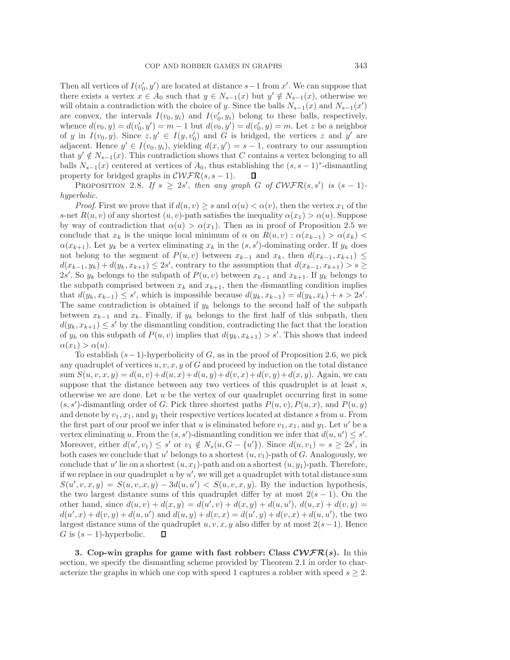Then all vertices of  $I(v'_0, y')$  are located at distance  $s-1$  from x'. We can suppose that there exists a vertex  $x \in A_0$  such that  $y \in N_{s-1}(x)$  but  $y' \notin N_{s-1}(x)$ , otherwise we will obtain a contradiction with the choice of y. Since the balls  $N_{s-1}(x)$  and  $N_{s-1}(x')$ are convex, the intervals  $I(v_0, y_i)$  and  $I(v'_0, y_i)$  belong to these balls, respectively, whence  $d(v_0, y) = d(v'_0, y') = m - 1$  but  $d(v_0, y') = d(v'_0, y) = m$ . Let z be a neighbor of y in  $I(v_0, y)$ . Since  $z, y' \in I(y, v'_0)$  and G is bridged, the vertices z and y' are adjacent. Hence  $y' \in I(v_0, y_i)$ , yielding  $d(x, y') = s - 1$ , contrary to our assumption that  $y' \notin N_{s-1}(x)$ . This contradiction shows that C contains a vertex belonging to all balls  $N_{s-1}(x)$  centered at vertices of  $A_0$ , thus establishing the  $(s, s-1)$ <sup>\*</sup>-dismantling property for bridged graphs in  $\mathcal{CWFR}(s, s-1)$ .  $\Box$ 

PROPOSITION 2.8. If  $s \geq 2s'$ , then any graph G of  $\mathcal{CWFR}(s, s')$  is  $(s-1)$ *hyperbolic.*

*Proof.* First we prove that if  $d(u, v) \geq s$  and  $\alpha(u) < \alpha(v)$ , then the vertex  $x_1$  of the s-net  $R(u, v)$  of any shortest  $(u, v)$ -path satisfies the inequality  $\alpha(x_1) > \alpha(u)$ . Suppose by way of contradiction that  $\alpha(u) > \alpha(x_1)$ . Then as in proof of Proposition 2.5 we conclude that  $x_k$  is the unique local minimum of  $\alpha$  on  $R(u, v)$  :  $\alpha(x_{k-1}) > \alpha(x_k)$  $\alpha(x_{k+1})$ . Let  $y_k$  be a vertex eliminating  $x_k$  in the  $(s, s')$ -dominating order. If  $y_k$  does not belong to the segment of  $P(u, v)$  between  $x_{k-1}$  and  $x_k$ , then  $d(x_{k-1}, x_{k+1}) \leq$  $d(x_{k-1}, y_k) + d(y_k, x_{k+1}) \leq 2s'$ , contrary to the assumption that  $d(x_{k-1}, x_{k+1}) > s \geq$ 2s'. So  $y_k$  belongs to the subpath of  $P(u, v)$  between  $x_{k-1}$  and  $x_{k+1}$ . If  $y_k$  belongs to the subpath comprised between  $x_k$  and  $x_{k+1}$ , then the dismantling condition implies that  $d(y_k, x_{k-1}) \leq s'$ , which is impossible because  $d(y_k, x_{k-1}) = d(y_k, x_k) + s > 2s'$ . The same contradiction is obtained if  $y_k$  belongs to the second half of the subpath between  $x_{k-1}$  and  $x_k$ . Finally, if  $y_k$  belongs to the first half of this subpath, then  $d(y_k, x_{k+1}) \leq s'$  by the dismantling condition, contradicting the fact that the location of  $y_k$  on this subpath of  $P(u, v)$  implies that  $d(y_k, x_{k+1}) > s'$ . This shows that indeed  $\alpha(x_1) > \alpha(u)$ .

To establish  $(s-1)$ -hyperbolicity of G, as in the proof of Proposition 2.6, we pick any quadruplet of vertices  $u, v, x, y$  of G and proceed by induction on the total distance sum  $S(u, v, x, y) = d(u, v) + d(u, x) + d(u, y) + d(v, x) + d(v, y) + d(x, y)$ . Again, we can suppose that the distance between any two vertices of this quadruplet is at least  $s$ , otherwise we are done. Let  $u$  be the vertex of our quadruplet occurring first in some  $(s, s')$ -dismantling order of G. Pick three shortest paths  $P(u, v), P(u, x)$ , and  $P(u, y)$ and denote by  $v_1, x_1$ , and  $y_1$  their respective vertices located at distance s from u. From the first part of our proof we infer that u is eliminated before  $v_1, x_1$ , and  $y_1$ . Let u' be a vertex eliminating u. From the  $(s, s')$ -dismantling condition we infer that  $d(u, u') \leq s'$ . Moreover, either  $d(u', v_1) \leq s'$  or  $v_1 \notin N_s(u, G - \{u'\})$ . Since  $d(u, v_1) = s \geq 2s'$ , in both cases we conclude that u' belongs to a shortest  $(u, v_1)$ -path of G. Analogously, we conclude that u' lie on a shortest  $(u, x_1)$ -path and on a shortest  $(u, y_1)$ -path. Therefore, if we replace in our quadruplet  $u$  by  $u'$ , we will get a quadruplet with total distance sum  $S(u', v, x, y) = S(u, v, x, y) - 3d(u, u') < S(u, v, x, y)$ . By the induction hypothesis, the two largest distance sums of this quadruplet differ by at most  $2(s - 1)$ . On the other hand, since  $d(u, v) + d(x, y) = d(u', v) + d(x, y) + d(u, u'), d(u, x) + d(v, y) =$  $d(u',x) + d(v,y) + d(u,u')$  and  $d(u,y) + d(v,x) = d(u',y) + d(v,x) + d(u,u')$ , the two largest distance sums of the quadruplet u, v, x, y also differ by at most  $2(s-1)$ . Hence G is  $(s-1)$ -hyperbolic. Л

**3. Cop-win graphs for game with fast robber: Class** *CWFR***(***s***).** In this section, we specify the dismantling scheme provided by Theorem 2.1 in order to characterize the graphs in which one cop with speed 1 captures a robber with speed  $s \geq 2$ .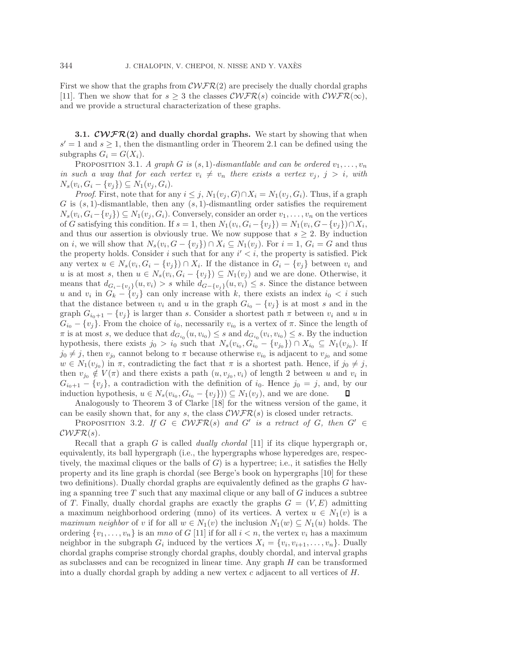First we show that the graphs from  $\mathcal{C}\mathcal{WFR}(2)$  are precisely the dually chordal graphs [11]. Then we show that for  $s \geq 3$  the classes  $\mathcal{CWFR}(s)$  coincide with  $\mathcal{CWFR}(\infty)$ , and we provide a structural characterization of these graphs.

**3.1.**  $\mathcal{C}\mathcal{WFR}(2)$  and dually chordal graphs. We start by showing that when  $s' = 1$  and  $s \geq 1$ , then the dismantling order in Theorem 2.1 can be defined using the subgraphs  $G_i = G(X_i)$ .

PROPOSITION 3.1. *A graph G is*  $(s, 1)$ *-dismantlable and can be ordered*  $v_1, \ldots, v_n$ *in such a way that for each vertex*  $v_i \neq v_n$  there exists a vertex  $v_j$ ,  $j > i$ , with  $N_s(v_i, G_i - \{v_i\}) \subseteq N_1(v_i, G_i).$ 

*Proof.* First, note that for any  $i \leq j$ ,  $N_1(v_j, G) \cap X_i = N_1(v_j, G_i)$ . Thus, if a graph G is  $(s, 1)$ -dismantlable, then any  $(s, 1)$ -dismantling order satisfies the requirement  $N_s(v_i, G_i - \{v_j\}) \subseteq N_1(v_j, G_i)$ . Conversely, consider an order  $v_1, \ldots, v_n$  on the vertices of G satisfying this condition. If  $s = 1$ , then  $N_1(v_i, G_i - \{v_j\}) = N_1(v_i, G - \{v_j\}) \cap X_i$ , and thus our assertion is obviously true. We now suppose that  $s \geq 2$ . By induction on i, we will show that  $N_s(v_i, G - \{v_i\}) \cap X_i \subseteq N_1(v_i)$ . For  $i = 1, G_i = G$  and thus the property holds. Consider i such that for any  $i' < i$ , the property is satisfied. Pick any vertex  $u \in N_s(v_i, G_i - \{v_j\}) \cap X_i$ . If the distance in  $G_i - \{v_j\}$  between  $v_i$  and u is at most s, then  $u \in N_s(v_i, G_i - \{v_j\}) \subseteq N_1(v_j)$  and we are done. Otherwise, it means that  $d_{G_i - \{v_j\}}(u, v_i) > s$  while  $d_{G - \{v_j\}}(u, v_i) \leq s$ . Since the distance between u and  $v_i$  in  $G_k - \{v_j\}$  can only increase with k, there exists an index  $i_0 < i$  such that the distance between  $v_i$  and u in the graph  $G_{i_0} - \{v_j\}$  is at most s and in the graph  $G_{i_0+1} - \{v_i\}$  is larger than s. Consider a shortest path  $\pi$  between  $v_i$  and u in  $G_{i_0} - \{v_j\}$ . From the choice of  $i_0$ , necessarily  $v_{i_0}$  is a vertex of  $\pi$ . Since the length of  $\pi$  is at most s, we deduce that  $d_{G_{i_0}}(u, v_{i_0}) \leq s$  and  $d_{G_{i_0}}(v_i, v_{i_0}) \leq s$ . By the induction hypothesis, there exists  $j_0 > i_0$  such that  $N_s(v_{i_0}, G_{i_0} - \{v_{j_0}\}) \cap X_{i_0} \subseteq N_1(v_{j_0})$ . If  $j_0 \neq j$ , then  $v_{j_0}$  cannot belong to  $\pi$  because otherwise  $v_{i_0}$  is adjacent to  $v_{j_0}$  and some  $w \in N_1(v_{j_0})$  in  $\pi$ , contradicting the fact that  $\pi$  is a shortest path. Hence, if  $j_0 \neq j$ , then  $v_{j_0} \notin V(\pi)$  and there exists a path  $(u, v_{j_0}, v_i)$  of length 2 between u and  $v_i$  in  $G_{i_0+1} - \{v_j\}$ , a contradiction with the definition of  $i_0$ . Hence  $j_0 = j$ , and, by our induction hypothesis,  $u \in N_s(v_{i_0}, G_{i_0} - \{v_j\}) \subseteq N_1(v_j)$ , and we are done. Д

Analogously to Theorem 3 of Clarke [18] for the witness version of the game, it can be easily shown that, for any s, the class  $\mathcal{CWFR}(s)$  is closed under retracts.

PROPOSITION 3.2. If  $G \in \mathcal{C}\mathcal{WFR}(s)$  and  $G'$  is a retract of G, then  $G' \in$  $CWFR(s)$ .

Recall that a graph G is called *dually chordal* [11] if its clique hypergraph or, equivalently, its ball hypergraph (i.e., the hypergraphs whose hyperedges are, respectively, the maximal cliques or the balls of  $G$ ) is a hypertree; i.e., it satisfies the Helly property and its line graph is chordal (see Berge's book on hypergraphs [10] for these two definitions). Dually chordal graphs are equivalently defined as the graphs G having a spanning tree  $T$  such that any maximal clique or any ball of  $G$  induces a subtree of T. Finally, dually chordal graphs are exactly the graphs  $G = (V, E)$  admitting a maximum neighborhood ordering (mno) of its vertices. A vertex  $u \in N_1(v)$  is a *maximum neighbor* of v if for all  $w \in N_1(v)$  the inclusion  $N_1(w) \subseteq N_1(u)$  holds. The ordering  $\{v_1,\ldots,v_n\}$  is an *mno* of G [11] if for all  $i < n$ , the vertex  $v_i$  has a maximum neighbor in the subgraph  $G_i$  induced by the vertices  $X_i = \{v_i, v_{i+1}, \ldots, v_n\}$ . Dually chordal graphs comprise strongly chordal graphs, doubly chordal, and interval graphs as subclasses and can be recognized in linear time. Any graph  $H$  can be transformed into a dually chordal graph by adding a new vertex  $c$  adjacent to all vertices of  $H$ .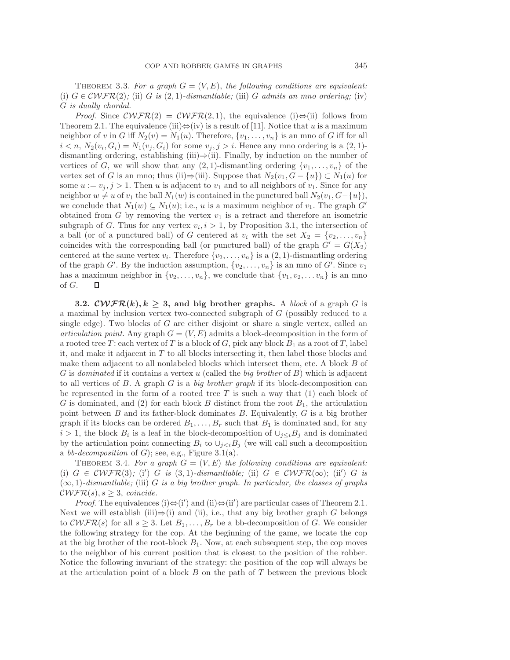THEOREM 3.3. For a graph  $G = (V, E)$ , the following conditions are equivalent: (i)  $G \in \mathcal{C}\mathcal{WFR}(2)$ ; (ii) G *is* (2, 1)*-dismantlable;* (iii) G *admits an mno ordering*; (iv) G *is dually chordal.*

*Proof.* Since  $\mathcal{C}\mathcal{WFR}(2) = \mathcal{C}\mathcal{WFR}(2,1)$ , the equivalence (i) $\Leftrightarrow$ (ii) follows from Theorem 2.1. The equivalence (iii) $\Leftrightarrow$  (iv) is a result of [11]. Notice that u is a maximum neighbor of v in G iff  $N_2(v) = N_1(u)$ . Therefore,  $\{v_1, \ldots, v_n\}$  is an mno of G iff for all  $i < n$ ,  $N_2(v_i, G_i) = N_1(v_i, G_i)$  for some  $v_i, j > i$ . Hence any mno ordering is a  $(2, 1)$ dismantling ordering, establishing (iii)⇒(ii). Finally, by induction on the number of vertices of G, we will show that any  $(2, 1)$ -dismantling ordering  $\{v_1, \ldots, v_n\}$  of the vertex set of G is an mno; thus (ii)⇒(iii). Suppose that  $N_2(v_1, G - \{u\}) \subset N_1(u)$  for some  $u := v_j, j > 1$ . Then u is adjacent to  $v_1$  and to all neighbors of  $v_1$ . Since for any neighbor  $w \neq u$  of  $v_1$  the ball  $N_1(w)$  is contained in the punctured ball  $N_2(v_1, G - \{u\}),$ we conclude that  $N_1(w) \subseteq N_1(u)$ ; i.e., u is a maximum neighbor of  $v_1$ . The graph  $G'$ obtained from  $G$  by removing the vertex  $v_1$  is a retract and therefore an isometric subgraph of G. Thus for any vertex  $v_i, i \geq 1$ , by Proposition 3.1, the intersection of a ball (or of a punctured ball) of G centered at  $v_i$  with the set  $X_2 = \{v_2, \ldots, v_n\}$ coincides with the corresponding ball (or punctured ball) of the graph  $G' = G(X_2)$ centered at the same vertex  $v_i$ . Therefore  $\{v_2,\ldots,v_n\}$  is a  $(2,1)$ -dismantling ordering of the graph G'. By the induction assumption,  $\{v_2, \ldots, v_n\}$  is an mno of G'. Since  $v_1$ has a maximum neighbor in  $\{v_2,\ldots,v_n\}$ , we conclude that  $\{v_1,v_2,\ldots v_n\}$  is an mno of G. Д

**3.2.**  $\mathcal{C}\mathcal{WFR}(k)$ ,  $k \geq 3$ , and big brother graphs. A *block* of a graph G is a maximal by inclusion vertex two-connected subgraph of G (possibly reduced to a single edge). Two blocks of G are either disjoint or share a single vertex, called an *articulation point.* Any graph  $G = (V, E)$  admits a block-decomposition in the form of a rooted tree T: each vertex of T is a block of G, pick any block  $B_1$  as a root of T, label it, and make it adjacent in  $T$  to all blocks intersecting it, then label those blocks and make them adjacent to all nonlabeled blocks which intersect them, etc. A block B of G is *dominated* if it contains a vertex u (called the *big brother* of B) which is adjacent to all vertices of B. A graph G is a *big brother graph* if its block-decomposition can be represented in the form of a rooted tree  $T$  is such a way that (1) each block of G is dominated, and (2) for each block B distinct from the root  $B_1$ , the articulation point between  $B$  and its father-block dominates  $B$ . Equivalently,  $G$  is a big brother graph if its blocks can be ordered  $B_1, \ldots, B_r$  such that  $B_1$  is dominated and, for any  $i > 1$ , the block  $B_i$  is a leaf in the block-decomposition of  $\cup_{j < i} B_j$  and is dominated by the articulation point connecting  $B_i$  to  $\cup_{j\leq i}B_j$  (we will call such a decomposition a *bb-decomposition* of  $G$ ; see, e.g., Figure 3.1(a).

THEOREM 3.4. For a graph  $G = (V, E)$  the following conditions are equivalent: (i)  $G \in \mathcal{C}\mathcal{WFR}(3)$ ; (i') G is (3,1)*-dismantlable*; (ii)  $G \in \mathcal{C}\mathcal{WFR}(\infty)$ ; (ii') G is  $(\infty, 1)$ *-dismantlable;* (iii) G *is a big brother graph. In particular, the classes of graphs*  $\mathcal{C}\mathcal{WFR}(s), s \geq 3$ , *coincide.* 

*Proof.* The equivalences (i) $\Leftrightarrow$ (i') and (ii) $\Leftrightarrow$ (ii') are particular cases of Theorem 2.1. Next we will establish (iii) $\Rightarrow$ (i) and (ii), i.e., that any big brother graph G belongs to  $\mathcal{C}\mathcal{WFR}(s)$  for all  $s \geq 3$ . Let  $B_1, \ldots, B_r$  be a bb-decomposition of G. We consider the following strategy for the cop. At the beginning of the game, we locate the cop at the big brother of the root-block  $B_1$ . Now, at each subsequent step, the cop moves to the neighbor of his current position that is closest to the position of the robber. Notice the following invariant of the strategy: the position of the cop will always be at the articulation point of a block  $B$  on the path of  $T$  between the previous block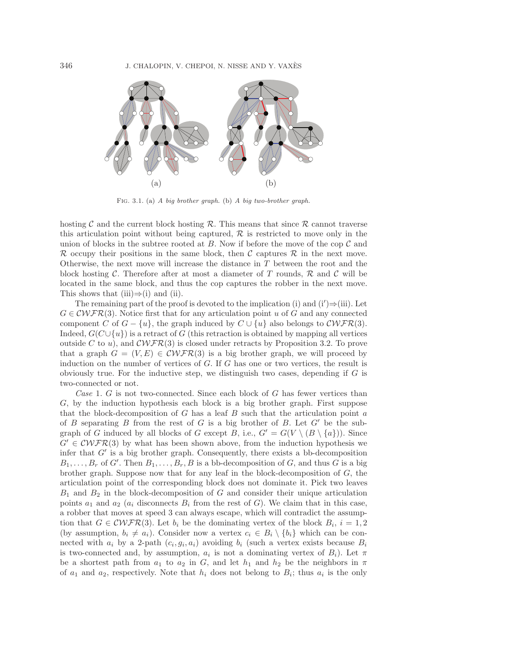

Fig. 3.1. (a) *A big brother graph.* (b) *A big two-brother graph.*

hosting C and the current block hosting  $\mathcal R$ . This means that since  $\mathcal R$  cannot traverse this articulation point without being captured, R is restricted to move only in the union of blocks in the subtree rooted at  $B$ . Now if before the move of the cop  $\mathcal C$  and R occupy their positions in the same block, then C captures R in the next move. Otherwise, the next move will increase the distance in T between the root and the block hosting C. Therefore after at most a diameter of T rounds,  $\mathcal{R}$  and C will be located in the same block, and thus the cop captures the robber in the next move. This shows that (iii) $\Rightarrow$ (i) and (ii).

The remaining part of the proof is devoted to the implication (i) and  $(i')\Rightarrow (iii)$ . Let  $G \in \mathcal{C}\mathcal{W} \mathcal{F} \mathcal{R}(3)$ . Notice first that for any articulation point u of G and any connected component C of  $G - \{u\}$ , the graph induced by  $C \cup \{u\}$  also belongs to  $\mathcal{C}\mathcal{WFR}(3)$ . Indeed,  $G(C \cup \{u\})$  is a retract of G (this retraction is obtained by mapping all vertices outside C to u), and  $\mathcal{C}\mathcal{W}\mathcal{F}\mathcal{R}(3)$  is closed under retracts by Proposition 3.2. To prove that a graph  $G = (V, E) \in \mathcal{C}WFR(3)$  is a big brother graph, we will proceed by induction on the number of vertices of G. If G has one or two vertices, the result is obviously true. For the inductive step, we distinguish two cases, depending if  $G$  is two-connected or not.

*Case* 1. G is not two-connected. Since each block of G has fewer vertices than G, by the induction hypothesis each block is a big brother graph. First suppose that the block-decomposition of  $G$  has a leaf  $B$  such that the articulation point  $a$ of B separating B from the rest of G is a big brother of B. Let  $G'$  be the subgraph of G induced by all blocks of G except B, i.e.,  $G' = G(V \setminus (B \setminus \{a\}))$ . Since  $G' \in \mathcal{C}WFR(3)$  by what has been shown above, from the induction hypothesis we infer that  $G'$  is a big brother graph. Consequently, there exists a bb-decomposition  $B_1, \ldots, B_r$  of G'. Then  $B_1, \ldots, B_r, B$  is a bb-decomposition of G, and thus G is a big brother graph. Suppose now that for any leaf in the block-decomposition of  $G$ , the articulation point of the corresponding block does not dominate it. Pick two leaves  $B_1$  and  $B_2$  in the block-decomposition of G and consider their unique articulation points  $a_1$  and  $a_2$  ( $a_i$  disconnects  $B_i$  from the rest of G). We claim that in this case, a robber that moves at speed 3 can always escape, which will contradict the assumption that  $G \in \mathcal{C}WFR(3)$ . Let  $b_i$  be the dominating vertex of the block  $B_i$ ,  $i = 1, 2$ (by assumption,  $b_i \neq a_i$ ). Consider now a vertex  $c_i \in B_i \setminus \{b_i\}$  which can be connected with  $a_i$  by a 2-path  $(c_i, g_i, a_i)$  avoiding  $b_i$  (such a vertex exists because  $B_i$ is two-connected and, by assumption,  $a_i$  is not a dominating vertex of  $B_i$ ). Let  $\pi$ be a shortest path from  $a_1$  to  $a_2$  in G, and let  $h_1$  and  $h_2$  be the neighbors in  $\pi$ of  $a_1$  and  $a_2$ , respectively. Note that  $h_i$  does not belong to  $B_i$ ; thus  $a_i$  is the only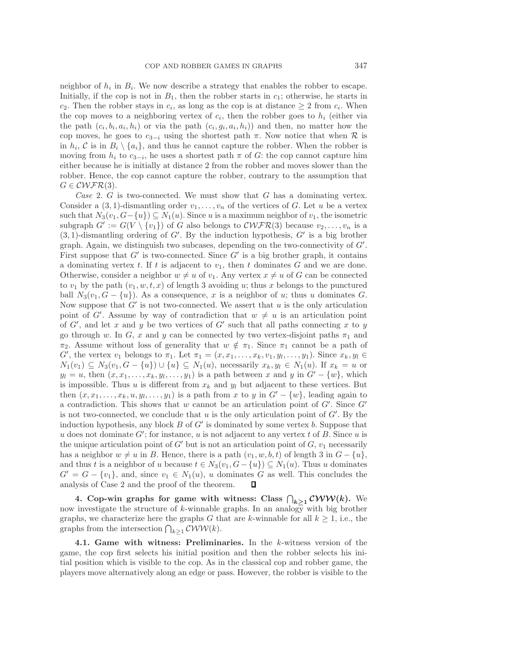neighbor of  $h_i$  in  $B_i$ . We now describe a strategy that enables the robber to escape. Initially, if the cop is not in  $B_1$ , then the robber starts in  $c_1$ ; otherwise, he starts in c<sub>2</sub>. Then the robber stays in  $c_i$ , as long as the cop is at distance  $\geq 2$  from  $c_i$ . When the cop moves to a neighboring vertex of  $c_i$ , then the robber goes to  $h_i$  (either via the path  $(c_i, b_i, a_i, h_i)$  or via the path  $(c_i, g_i, a_i, h_i)$  and then, no matter how the cop moves, he goes to  $c_{3-i}$  using the shortest path  $\pi$ . Now notice that when  $\mathcal R$  is in  $h_i$ , C is in  $B_i \setminus \{a_i\}$ , and thus he cannot capture the robber. When the robber is moving from  $h_i$  to  $c_{3-i}$ , he uses a shortest path  $\pi$  of G: the cop cannot capture him either because he is initially at distance 2 from the robber and moves slower than the robber. Hence, the cop cannot capture the robber, contrary to the assumption that  $G \in \mathcal{C}\mathcal{WFR}(3)$ .

*Case* 2. G is two-connected. We must show that G has a dominating vertex. Consider a  $(3, 1)$ -dismantling order  $v_1, \ldots, v_n$  of the vertices of G. Let u be a vertex such that  $N_3(v_1, G - \{u\}) \subseteq N_1(u)$ . Since u is a maximum neighbor of  $v_1$ , the isometric subgraph  $G' := G(V \setminus \{v_1\})$  of G also belongs to  $\mathcal{CWFR}(3)$  because  $v_2, \ldots, v_n$  is a  $(3, 1)$ -dismantling ordering of G'. By the induction hypothesis, G' is a big brother graph. Again, we distinguish two subcases, depending on the two-connectivity of  $G'$ . First suppose that  $G'$  is two-connected. Since  $G'$  is a big brother graph, it contains a dominating vertex t. If t is adjacent to  $v_1$ , then t dominates G and we are done. Otherwise, consider a neighbor  $w \neq u$  of  $v_1$ . Any vertex  $x \neq u$  of G can be connected to  $v_1$  by the path  $(v_1, w, t, x)$  of length 3 avoiding u; thus x belongs to the punctured ball  $N_3(v_1, G - \{u\})$ . As a consequence, x is a neighbor of u; thus u dominates G. Now suppose that  $G'$  is not two-connected. We assert that u is the only articulation point of G'. Assume by way of contradiction that  $w \neq u$  is an articulation point of  $G'$ , and let x and y be two vertices of  $G'$  such that all paths connecting x to y go through w. In G, x and y can be connected by two vertex-disjoint paths  $\pi_1$  and  $\pi_2$ . Assume without loss of generality that  $w \notin \pi_1$ . Since  $\pi_1$  cannot be a path of G', the vertex  $v_1$  belongs to  $\pi_1$ . Let  $\pi_1 = (x, x_1, \ldots, x_k, v_1, y_l, \ldots, y_1)$ . Since  $x_k, y_l \in$  $N_1(v_1) \subseteq N_3(v_1, G - \{u\}) \cup \{u\} \subseteq N_1(u)$ , necessarily  $x_k, y_l \in N_1(u)$ . If  $x_k = u$  or  $y_l = u$ , then  $(x, x_1, \ldots, x_k, y_l, \ldots, y_1)$  is a path between x and y in  $G' - \{w\}$ , which is impossible. Thus u is different from  $x_k$  and  $y_l$  but adjacent to these vertices. But then  $(x, x_1, \ldots, x_k, u, y_l, \ldots, y_1)$  is a path from x to y in  $G' - \{w\}$ , leading again to a contradiction. This shows that  $w$  cannot be an articulation point of  $G'$ . Since  $G'$ is not two-connected, we conclude that  $u$  is the only articulation point of  $G'$ . By the induction hypothesis, any block  $B$  of  $G'$  is dominated by some vertex  $b$ . Suppose that u does not dominate  $G'$ ; for instance, u is not adjacent to any vertex t of B. Since u is the unique articulation point of  $G'$  but is not an articulation point of  $G$ ,  $v_1$  necessarily has a neighbor  $w \neq u$  in B. Hence, there is a path  $(v_1, w, b, t)$  of length 3 in  $G - \{u\}$ , and thus t is a neighbor of u because  $t \in N_3(v_1, G - \{u\}) \subseteq N_1(u)$ . Thus u dominates  $G' = G - \{v_1\}$ , and, since  $v_1 \in N_1(u)$ , u dominates G as well. This concludes the analysis of Case 2 and the proof of the theorem. O

**4.** Cop-win graphs for game with witness: Class  $\bigcap_{k \geq 1} \mathcal{C} \mathcal{W} \mathcal{W}(k)$ . We now investigate the structure of k-winnable graphs. In an analogy with big brother graphs, we characterize here the graphs G that are k-winnable for all  $k \geq 1$ , i.e., the graphs from the intersection  $\bigcap_{k\geq 1} \mathcal{C} \mathcal{W} \mathcal{W}(k)$ .

**4.1. Game with witness: Preliminaries.** In the k-witness version of the game, the cop first selects his initial position and then the robber selects his initial position which is visible to the cop. As in the classical cop and robber game, the players move alternatively along an edge or pass. However, the robber is visible to the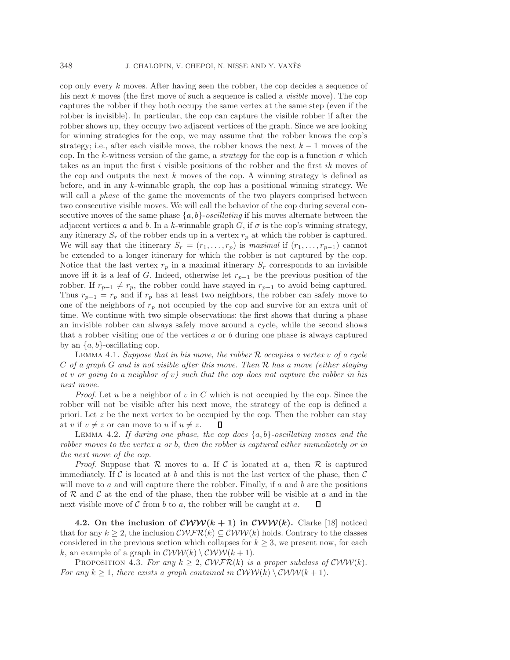cop only every  $k$  moves. After having seen the robber, the cop decides a sequence of his next k moves (the first move of such a sequence is called a *visible* move). The cop captures the robber if they both occupy the same vertex at the same step (even if the robber is invisible). In particular, the cop can capture the visible robber if after the robber shows up, they occupy two adjacent vertices of the graph. Since we are looking for winning strategies for the cop, we may assume that the robber knows the cop's strategy; i.e., after each visible move, the robber knows the next  $k - 1$  moves of the cop. In the k-witness version of the game, a *strategy* for the cop is a function  $\sigma$  which takes as an input the first  $i$  visible positions of the robber and the first  $ik$  moves of the cop and outputs the next k moves of the cop. A winning strategy is defined as before, and in any k-winnable graph, the cop has a positional winning strategy. We will call a *phase* of the game the movements of the two players comprised between two consecutive visible moves. We will call the behavior of the cop during several consecutive moves of the same phase  $\{a, b\}$ -*oscillating* if his moves alternate between the adjacent vertices a and b. In a k-winnable graph G, if  $\sigma$  is the cop's winning strategy, any itinerary  $S_r$  of the robber ends up in a vertex  $r_p$  at which the robber is captured. We will say that the itinerary  $S_r = (r_1, \ldots, r_p)$  is *maximal* if  $(r_1, \ldots, r_{p-1})$  cannot be extended to a longer itinerary for which the robber is not captured by the cop. Notice that the last vertex  $r_p$  in a maximal itinerary  $S_r$  corresponds to an invisible move iff it is a leaf of G. Indeed, otherwise let  $r_{p-1}$  be the previous position of the robber. If  $r_{p-1} \neq r_p$ , the robber could have stayed in  $r_{p-1}$  to avoid being captured. Thus  $r_{p-1} = r_p$  and if  $r_p$  has at least two neighbors, the robber can safely move to one of the neighbors of  $r_p$  not occupied by the cop and survive for an extra unit of time. We continue with two simple observations: the first shows that during a phase an invisible robber can always safely move around a cycle, while the second shows that a robber visiting one of the vertices  $a$  or  $b$  during one phase is always captured by an  $\{a, b\}$ -oscillating cop.

Lemma 4.1. *Suppose that in his move, the robber* R *occupies a vertex* v *of a cycle* C *of a graph* G *and is not visible after this move. Then* R *has a move (either staying at* v *or going to a neighbor of* v*) such that the cop does not capture the robber in his next move.*

*Proof.* Let u be a neighbor of v in C which is not occupied by the cop. Since the robber will not be visible after his next move, the strategy of the cop is defined a priori. Let  $z$  be the next vertex to be occupied by the cop. Then the robber can stay at v if  $v \neq z$  or can move to u if  $u \neq z$ .

Lemma 4.2. *If during one phase, the cop does* {a, b}*-oscillating moves and the robber moves to the vertex* a *or* b, *then the robber is captured either immediately or in the next move of the cop.*

*Proof.* Suppose that  $\mathcal R$  moves to a. If  $\mathcal C$  is located at a, then  $\mathcal R$  is captured immediately. If C is located at b and this is not the last vertex of the phase, then  $\mathcal C$ will move to a and will capture there the robber. Finally, if  $a$  and  $b$  are the positions of  $\mathcal R$  and  $\mathcal C$  at the end of the phase, then the robber will be visible at a and in the next visible move of  $C$  from  $b$  to  $a$ , the robber will be caught at  $a$ . Л

**4.2.** On the inclusion of  $\mathcal{C}WW(k+1)$  in  $\mathcal{C}WW(k)$ . Clarke [18] noticed that for any  $k \geq 2$ , the inclusion  $\mathcal{CWFR}(k) \subseteq \mathcal{CWW}(k)$  holds. Contrary to the classes considered in the previous section which collapses for  $k \geq 3$ , we present now, for each k, an example of a graph in  $\mathcal{C}WW(k) \setminus \mathcal{C}WW(k+1)$ .

PROPOSITION 4.3. For any  $k \geq 2$ , CWFR(k) is a proper subclass of CWW(k). *For any*  $k \geq 1$ , *there exists a graph contained in*  $\mathcal{C}WW(k) \setminus \mathcal{C}WW(k+1)$ .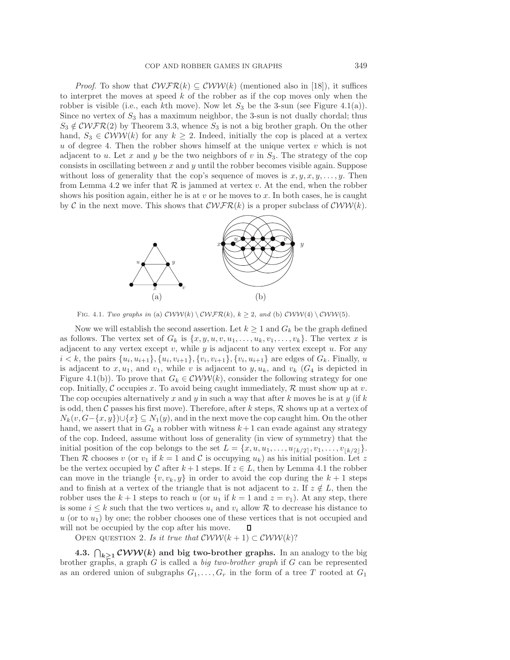*Proof.* To show that  $\mathcal{CWFR}(k) \subseteq \mathcal{CWW}(k)$  (mentioned also in [18]), it suffices to interpret the moves at speed  $k$  of the robber as if the cop moves only when the robber is visible (i.e., each kth move). Now let  $S_3$  be the 3-sun (see Figure 4.1(a)). Since no vertex of  $S_3$  has a maximum neighbor, the 3-sun is not dually chordal; thus  $S_3 \notin \mathcal{C}\mathcal{W}\mathcal{F}\mathcal{R}(2)$  by Theorem 3.3, whence  $S_3$  is not a big brother graph. On the other hand,  $S_3 \in \mathcal{CWW}(k)$  for any  $k \geq 2$ . Indeed, initially the cop is placed at a vertex  $u$  of degree 4. Then the robber shows himself at the unique vertex  $v$  which is not adjacent to u. Let x and y be the two neighbors of v in  $S_3$ . The strategy of the cop consists in oscillating between  $x$  and  $y$  until the robber becomes visible again. Suppose without loss of generality that the cop's sequence of moves is  $x, y, x, y, \ldots, y$ . Then from Lemma 4.2 we infer that  $R$  is jammed at vertex v. At the end, when the robber shows his position again, either he is at v or he moves to x. In both cases, he is caught by C in the next move. This shows that  $\mathcal{CWFR}(k)$  is a proper subclass of  $\mathcal{CWW}(k)$ .



Fig. 4.1. *Two graphs in* (a)  $CWW(k) \ CWFR(k)$ *,*  $k \geq 2$ *, and* (b)  $CWW(4) \ CWW(5)$ *.* 

Now we will establish the second assertion. Let  $k \geq 1$  and  $G_k$  be the graph defined as follows. The vertex set of  $G_k$  is  $\{x, y, u, v, u_1, \ldots, u_k, v_1, \ldots, v_k\}$ . The vertex x is adjacent to any vertex except  $v$ , while  $y$  is adjacent to any vertex except  $u$ . For any  $i < k$ , the pairs  $\{u_i, u_{i+1}\}, \{u_i, v_{i+1}\}, \{v_i, v_{i+1}\}, \{v_i, u_{i+1}\}\$  are edges of  $G_k$ . Finally, u is adjacent to  $x, u_1$ , and  $v_1$ , while v is adjacent to  $y, u_k$ , and  $v_k$  ( $G_4$  is depicted in Figure 4.1(b)). To prove that  $G_k \in \mathcal{CWW}(k)$ , consider the following strategy for one cop. Initially, C occupies x. To avoid being caught immediately,  $\mathcal{R}$  must show up at v. The cop occupies alternatively x and y in such a way that after k moves he is at y (if k is odd, then C passes his first move). Therefore, after k steps,  $R$  shows up at a vertex of  $N_k(v, G-\{x, y\}) \cup \{x\} \subseteq N_1(y)$ , and in the next move the cop caught him. On the other hand, we assert that in  $G_k$  a robber with witness  $k+1$  can evade against any strategy of the cop. Indeed, assume without loss of generality (in view of symmetry) that the initial position of the cop belongs to the set  $L = \{x, u, u_1, \ldots, u_{\lceil k/2 \rceil}, v_1, \ldots, v_{\lfloor k/2 \rfloor} \}.$ Then R chooses v (or  $v_1$  if  $k = 1$  and C is occupying  $u_k$ ) as his initial position. Let z be the vertex occupied by C after  $k+1$  steps. If  $z \in L$ , then by Lemma 4.1 the robber can move in the triangle  $\{v, v_k, y\}$  in order to avoid the cop during the  $k + 1$  steps and to finish at a vertex of the triangle that is not adjacent to z. If  $z \notin L$ , then the robber uses the  $k + 1$  steps to reach u (or  $u_1$  if  $k = 1$  and  $z = v_1$ ). At any step, there is some  $i \leq k$  such that the two vertices  $u_i$  and  $v_i$  allow R to decrease his distance to  $u$  (or to  $u_1$ ) by one; the robber chooses one of these vertices that is not occupied and will not be occupied by the cop after his move. Д

OPEN QUESTION 2. *Is it true that*  $\mathcal{C}WW(k+1) \subset \mathcal{C}WW(k)$ ?

**4.3.**  $\bigcap_{k \geq 1} \mathcal{CWW}(k)$  and big two-brother graphs. In an analogy to the big brother graphs, a graph G is called a *big two-brother graph* if G can be represented as an ordered union of subgraphs  $G_1, \ldots, G_r$  in the form of a tree T rooted at  $G_1$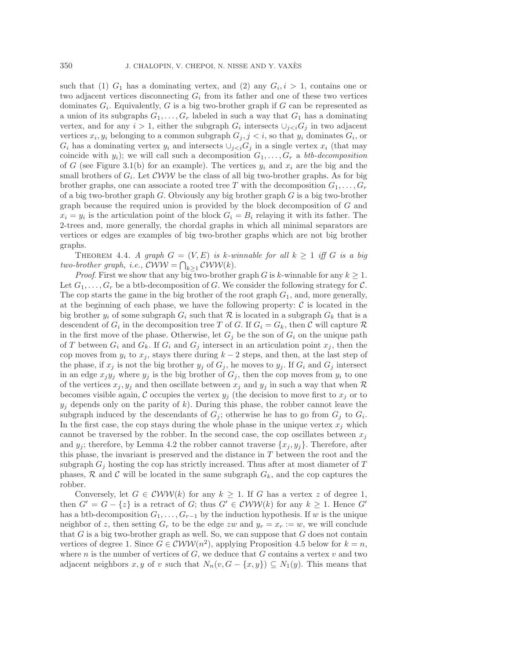such that (1)  $G_1$  has a dominating vertex, and (2) any  $G_i, i > 1$ , contains one or two adjacent vertices disconnecting  $G_i$  from its father and one of these two vertices dominates  $G_i$ . Equivalently, G is a big two-brother graph if G can be represented as a union of its subgraphs  $G_1, \ldots, G_r$  labeled in such a way that  $G_1$  has a dominating vertex, and for any  $i > 1$ , either the subgraph  $G_i$  intersects  $\cup_{j < i} G_j$  in two adjacent vertices  $x_i, y_i$  belonging to a common subgraph  $G_j, j < i$ , so that  $y_i$  dominates  $G_i$ , or  $G_i$  has a dominating vertex  $y_i$  and intersects  $\bigcup_{j in a single vertex  $x_i$  (that may$ coincide with  $y_i$ ; we will call such a decomposition  $G_1, \ldots, G_r$  a *btb-decomposition* of G (see Figure 3.1(b) for an example). The vertices  $y_i$  and  $x_i$  are the big and the small brothers of  $G_i$ . Let  $\mathcal{C}WW$  be the class of all big two-brother graphs. As for big brother graphs, one can associate a rooted tree T with the decomposition  $G_1, \ldots, G_r$ of a big two-brother graph G. Obviously any big brother graph G is a big two-brother graph because the required union is provided by the block decomposition of G and  $x_i = y_i$  is the articulation point of the block  $G_i = B_i$  relaying it with its father. The 2-trees and, more generally, the chordal graphs in which all minimal separators are vertices or edges are examples of big two-brother graphs which are not big brother graphs.

THEOREM 4.4. *A graph*  $G = (V, E)$  *is* k-winnable for all  $k \geq 1$  *iff* G *is a big*  $two\text{-}brother graph, i.e., \text{CWW} = \bigcap_{k \geq 1} \text{CWW}(k).$ 

*Proof.* First we show that any big two-brother graph G is k-winnable for any  $k \geq 1$ . Let  $G_1, \ldots, G_r$  be a btb-decomposition of G. We consider the following strategy for C. The cop starts the game in the big brother of the root graph  $G_1$ , and, more generally, at the beginning of each phase, we have the following property:  $\mathcal C$  is located in the big brother  $y_i$  of some subgraph  $G_i$  such that  $\mathcal R$  is located in a subgraph  $G_k$  that is a descendent of  $G_i$  in the decomposition tree T of G. If  $G_i = G_k$ , then C will capture R in the first move of the phase. Otherwise, let  $G_i$  be the son of  $G_i$  on the unique path of T between  $G_i$  and  $G_k$ . If  $G_i$  and  $G_j$  intersect in an articulation point  $x_j$ , then the cop moves from  $y_i$  to  $x_j$ , stays there during  $k-2$  steps, and then, at the last step of the phase, if  $x_j$  is not the big brother  $y_j$  of  $G_j$ , he moves to  $y_j$ . If  $G_i$  and  $G_j$  intersect in an edge  $x_jy_j$  where  $y_j$  is the big brother of  $G_j$ , then the cop moves from  $y_i$  to one of the vertices  $x_j, y_j$  and then oscillate between  $x_j$  and  $y_j$  in such a way that when  $\mathcal R$ becomes visible again, C occupies the vertex  $y_i$  (the decision to move first to  $x_i$  or to  $y_j$  depends only on the parity of k). During this phase, the robber cannot leave the subgraph induced by the descendants of  $G_i$ ; otherwise he has to go from  $G_i$  to  $G_i$ . In the first case, the cop stays during the whole phase in the unique vertex  $x_j$  which cannot be traversed by the robber. In the second case, the cop oscillates between  $x_j$ and  $y_i$ ; therefore, by Lemma 4.2 the robber cannot traverse  $\{x_i, y_j\}$ . Therefore, after this phase, the invariant is preserved and the distance in  $T$  between the root and the subgraph  $G_i$  hosting the cop has strictly increased. Thus after at most diameter of T phases,  $R$  and  $C$  will be located in the same subgraph  $G_k$ , and the cop captures the robber.

Conversely, let  $G \in \mathcal{CWW}(k)$  for any  $k \geq 1$ . If G has a vertex z of degree 1, then  $G' = G - \{z\}$  is a retract of G; thus  $G' \in \mathcal{CWW}(k)$  for any  $k \geq 1$ . Hence G' has a btb-decomposition  $G_1, \ldots, G_{r-1}$  by the induction hypothesis. If w is the unique neighbor of z, then setting  $G_r$  to be the edge zw and  $y_r = x_r := w$ , we will conclude that  $G$  is a big two-brother graph as well. So, we can suppose that  $G$  does not contain vertices of degree 1. Since  $G \in \mathcal{C}WW(n^2)$ , applying Proposition 4.5 below for  $k = n$ , where n is the number of vertices of  $G$ , we deduce that  $G$  contains a vertex  $v$  and two adjacent neighbors x, y of v such that  $N_n(v, G - \{x, y\}) \subseteq N_1(y)$ . This means that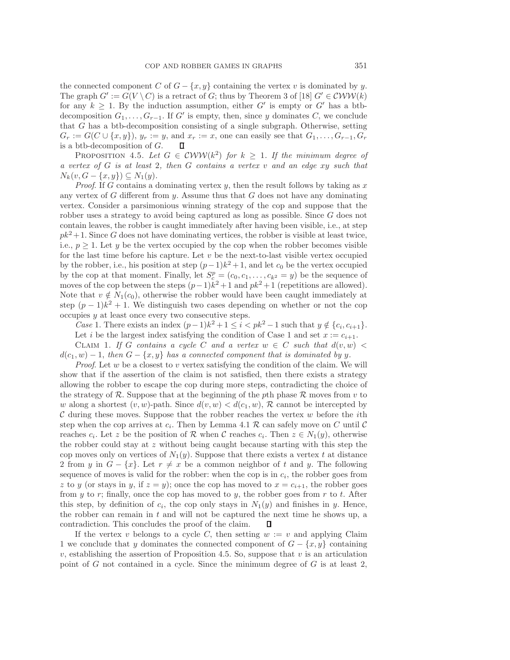the connected component C of  $G - \{x, y\}$  containing the vertex v is dominated by y. The graph  $G' := G(V \setminus C)$  is a retract of G; thus by Theorem 3 of [18]  $G' \in \mathcal{CWW}(k)$ for any  $k \geq 1$ . By the induction assumption, either G' is empty or G' has a btbdecomposition  $G_1, \ldots, G_{r-1}$ . If G' is empty, then, since y dominates C, we conclude that G has a btb-decomposition consisting of a single subgraph. Otherwise, setting  $G_r := G(C \cup \{x, y\}), y_r := y$ , and  $x_r := x$ , one can easily see that  $G_1, \ldots, G_{r-1}, G_r$ is a btb-decomposition of G. П

PROPOSITION 4.5. Let  $G \in \mathcal{CWW}(k^2)$  for  $k \geq 1$ . If the minimum degree of *a vertex of* G *is at least* 2*, then* G *contains a vertex* v *and an edge* xy *such that*  $N_k(v, G - \{x, y\}) \subseteq N_1(y)$ .

*Proof.* If G contains a dominating vertex y, then the result follows by taking as  $x$ any vertex of  $G$  different from  $y$ . Assume thus that  $G$  does not have any dominating vertex. Consider a parsimonious winning strategy of the cop and suppose that the robber uses a strategy to avoid being captured as long as possible. Since G does not contain leaves, the robber is caught immediately after having been visible, i.e., at step  $pk<sup>2</sup>+1$ . Since G does not have dominating vertices, the robber is visible at least twice, i.e.,  $p \geq 1$ . Let y be the vertex occupied by the cop when the robber becomes visible for the last time before his capture. Let  $v$  be the next-to-last visible vertex occupied by the robber, i.e., his position at step  $(p-1)k^2 + 1$ , and let  $c_0$  be the vertex occupied by the cop at that moment. Finally, let  $S_c^p = (c_0, c_1, \ldots, c_{k^2} = y)$  be the sequence of moves of the cop between the steps  $(p-1)\tilde{k}^2 + 1$  and  $pk^2 + 1$  (repetitions are allowed). Note that  $v \notin N_1(c_0)$ , otherwise the robber would have been caught immediately at step  $(p-1)k^2+1$ . We distinguish two cases depending on whether or not the cop  $occu$  at least once every two consecutive steps.

*Case* 1. There exists an index  $(p-1)k^2 + 1 \leq i < pk^2 - 1$  such that  $y \notin \{c_i, c_{i+1}\}.$ Let i be the largest index satisfying the condition of Case 1 and set  $x := c_{i+1}$ .

CLAIM 1. If G contains a cycle C and a vertex  $w \in C$  such that  $d(v, w)$  $d(c_1, w) - 1$ , then  $G - \{x, y\}$  has a connected component that is dominated by y.

*Proof.* Let w be a closest to v vertex satisfying the condition of the claim. We will show that if the assertion of the claim is not satisfied, then there exists a strategy allowing the robber to escape the cop during more steps, contradicting the choice of the strategy of  $\mathcal R$ . Suppose that at the beginning of the pth phase  $\mathcal R$  moves from v to w along a shortest  $(v, w)$ -path. Since  $d(v, w) < d(c_1, w)$ , R cannot be intercepted by  $\mathcal C$  during these moves. Suppose that the robber reaches the vertex  $w$  before the *i*th step when the cop arrives at  $c_i$ . Then by Lemma 4.1  $\mathcal R$  can safely move on C until C reaches  $c_i$ . Let z be the position of R when C reaches  $c_i$ . Then  $z \in N_1(y)$ , otherwise the robber could stay at z without being caught because starting with this step the cop moves only on vertices of  $N_1(y)$ . Suppose that there exists a vertex t at distance 2 from y in  $G - \{x\}$ . Let  $r \neq x$  be a common neighbor of t and y. The following sequence of moves is valid for the robber: when the cop is in  $c_i$ , the robber goes from z to y (or stays in y, if  $z = y$ ); once the cop has moved to  $x = c_{i+1}$ , the robber goes from y to r; finally, once the cop has moved to y, the robber goes from r to t. After this step, by definition of  $c_i$ , the cop only stays in  $N_1(y)$  and finishes in y. Hence, the robber can remain in t and will not be captured the next time he shows up, a contradiction. This concludes the proof of the claim. O

If the vertex v belongs to a cycle C, then setting  $w := v$  and applying Claim 1 we conclude that y dominates the connected component of  $G - \{x, y\}$  containing  $v$ , establishing the assertion of Proposition 4.5. So, suppose that  $v$  is an articulation point of  $G$  not contained in a cycle. Since the minimum degree of  $G$  is at least 2,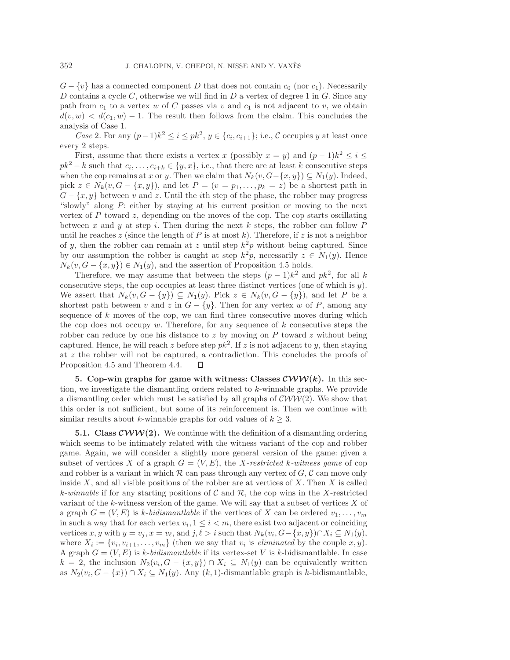$G - \{v\}$  has a connected component D that does not contain  $c_0$  (nor  $c_1$ ). Necessarily D contains a cycle C, otherwise we will find in  $D$  a vertex of degree 1 in  $G$ . Since any path from  $c_1$  to a vertex w of C passes via v and  $c_1$  is not adjacent to v, we obtain  $d(v, w) < d(c_1, w) - 1$ . The result then follows from the claim. This concludes the analysis of Case 1.

*Case* 2. For any  $(p-1)k^2 \leq i \leq pk^2$ ,  $y \in \{c_i, c_{i+1}\}\;$ , i.e., C occupies y at least once every 2 steps.

First, assume that there exists a vertex x (possibly  $x = y$ ) and  $(p-1)k^2 \leq i \leq$  $pk^2 - k$  such that  $c_i, \ldots, c_{i+k} \in \{y, x\}$ , i.e., that there are at least k consecutive steps when the cop remains at x or y. Then we claim that  $N_k(v, G - \{x, y\}) \subseteq N_1(y)$ . Indeed, pick  $z \in N_k(v, G - \{x, y\})$ , and let  $P = (v = p_1, \ldots, p_k = z)$  be a shortest path in  $G - \{x, y\}$  between v and z. Until the *i*th step of the phase, the robber may progress "slowly" along P: either by staying at his current position or moving to the next vertex of  $P$  toward  $z$ , depending on the moves of the cop. The cop starts oscillating between x and y at step i. Then during the next k steps, the robber can follow  $P$ until he reaches z (since the length of P is at most k). Therefore, if z is not a neighbor of y, then the robber can remain at z until step  $k^2p$  without being captured. Since by our assumption the robber is caught at step  $k^2p$ , necessarily  $z \in N_1(y)$ . Hence  $N_k(v, G - \{x, y\}) \in N_1(y)$ , and the assertion of Proposition 4.5 holds.

Therefore, we may assume that between the steps  $(p-1)k^2$  and  $pk^2$ , for all k consecutive steps, the cop occupies at least three distinct vertices (one of which is  $y$ ). We assert that  $N_k(v, G - \{y\}) \subseteq N_1(y)$ . Pick  $z \in N_k(v, G - \{y\})$ , and let P be a shortest path between v and z in  $G - \{y\}$ . Then for any vertex w of P, among any sequence of  $k$  moves of the cop, we can find three consecutive moves during which the cop does not occupy  $w$ . Therefore, for any sequence of  $k$  consecutive steps the robber can reduce by one his distance to z by moving on  $P$  toward  $z$  without being captured. Hence, he will reach z before step  $pk^2$ . If z is not adjacent to y, then staying at z the robber will not be captured, a contradiction. This concludes the proofs of Proposition 4.5 and Theorem 4.4. П

**5.** Cop-win graphs for game with witness: Classes  $\mathcal{C}WW(k)$ . In this section, we investigate the dismantling orders related to k-winnable graphs. We provide a dismantling order which must be satisfied by all graphs of  $\mathcal{CWW}(2)$ . We show that this order is not sufficient, but some of its reinforcement is. Then we continue with similar results about k-winnable graphs for odd values of  $k \geq 3$ .

**5.1. Class**  $\mathcal{CWW}(2)$ **.** We continue with the definition of a dismantling ordering which seems to be intimately related with the witness variant of the cop and robber game. Again, we will consider a slightly more general version of the game: given a subset of vertices X of a graph  $G = (V, E)$ , the X-restricted k-witness game of cop and robber is a variant in which  $R$  can pass through any vertex of  $G, C$  can move only inside  $X$ , and all visible positions of the robber are at vertices of  $X$ . Then  $X$  is called k-winnable if for any starting positions of  $\mathcal C$  and  $\mathcal R$ , the cop wins in the X-restricted variant of the  $k$ -witness version of the game. We will say that a subset of vertices  $X$  of a graph  $G = (V, E)$  is k-bidismantlable if the vertices of X can be ordered  $v_1, \ldots, v_m$ in such a way that for each vertex  $v_i, 1 \leq i < m$ , there exist two adjacent or coinciding vertices x, y with  $y = v_j$ ,  $x = v_\ell$ , and  $j, \ell > i$  such that  $N_k(v_i, G - \{x, y\}) \cap X_i \subseteq N_1(y)$ , where  $X_i := \{v_i, v_{i+1}, \ldots, v_m\}$  (then we say that  $v_i$  is *eliminated* by the couple x, y). A graph  $G = (V, E)$  is k-bidismantlable if its vertex-set V is k-bidismantlable. In case  $k = 2$ , the inclusion  $N_2(v_i, G - \{x, y\}) \cap X_i \subseteq N_1(y)$  can be equivalently written as  $N_2(v_i, G - \{x\}) \cap X_i \subseteq N_1(y)$ . Any  $(k, 1)$ -dismantlable graph is k-bidismantlable,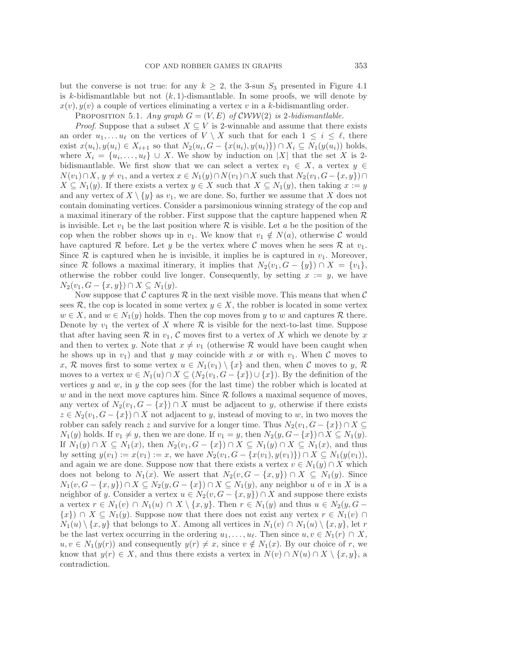but the converse is not true: for any  $k \geq 2$ , the 3-sun  $S_3$  presented in Figure 4.1 is k-bidismantlable but not  $(k, 1)$ -dismantlable. In some proofs, we will denote by  $x(v), y(v)$  a couple of vertices eliminating a vertex v in a k-bidismantling order.

PROPOSITION 5.1. Any graph  $G = (V, E)$  of  $\mathcal{CWW}(2)$  is 2*-bidismantlable.* 

*Proof.* Suppose that a subset  $X \subseteq V$  is 2-winnable and assume that there exists an order  $u_1, \ldots u_\ell$  on the vertices of  $V \setminus X$  such that for each  $1 \leq i \leq \ell$ , there exist  $x(u_i), y(u_i) \in X_{i+1}$  so that  $N_2(u_i, G - \{x(u_i), y(u_i)\}) \cap X_i \subseteq N_1(y(u_i))$  holds, where  $X_i = \{u_i, \ldots, u_\ell\} \cup X$ . We show by induction on |X| that the set X is 2bidismantlable. We first show that we can select a vertex  $v_1 \in X$ , a vertex  $y \in Y$  $N(v_1) \cap X, y \neq v_1$ , and a vertex  $x \in N_1(y) \cap N(v_1) \cap X$  such that  $N_2(v_1, G - \{x, y\}) \cap$  $X \subseteq N_1(y)$ . If there exists a vertex  $y \in X$  such that  $X \subseteq N_1(y)$ , then taking  $x := y$ and any vertex of  $X \setminus \{y\}$  as  $v_1$ , we are done. So, further we assume that X does not contain dominating vertices. Consider a parsimonious winning strategy of the cop and a maximal itinerary of the robber. First suppose that the capture happened when  $R$ is invisible. Let  $v_1$  be the last position where  $R$  is visible. Let a be the position of the cop when the robber shows up in  $v_1$ . We know that  $v_1 \notin N(a)$ , otherwise C would have captured R before. Let y be the vertex where C moves when he sees R at  $v_1$ . Since  $\mathcal R$  is captured when he is invisible, it implies he is captured in  $v_1$ . Moreover, since R follows a maximal itinerary, it implies that  $N_2(v_1, G - \{y\}) \cap X = \{v_1\},\$ otherwise the robber could live longer. Consequently, by setting  $x := y$ , we have  $N_2(v_1, G - \{x, y\}) \cap X \subseteq N_1(y).$ 

Now suppose that C captures  $\mathcal R$  in the next visible move. This means that when C sees R, the cop is located in some vertex  $y \in X$ , the robber is located in some vertex  $w \in X$ , and  $w \in N_1(y)$  holds. Then the cop moves from y to w and captures R there. Denote by  $v_1$  the vertex of X where  $\mathcal R$  is visible for the next-to-last time. Suppose that after having seen  $\mathcal R$  in  $v_1, \mathcal C$  moves first to a vertex of X which we denote by x and then to vertex y. Note that  $x \neq v_1$  (otherwise R would have been caught when he shows up in  $v_1$ ) and that y may coincide with x or with  $v_1$ . When C moves to x, R moves first to some vertex  $u \in N_1(v_1) \setminus \{x\}$  and then, when C moves to y, R moves to a vertex  $w \in N_1(u) \cap X \subseteq (N_2(v_1, G - \{x\}) \cup \{x\})$ . By the definition of the vertices  $y$  and  $w$ , in  $y$  the cop sees (for the last time) the robber which is located at  $w$  and in the next move captures him. Since  $R$  follows a maximal sequence of moves, any vertex of  $N_2(v_1, G - \{x\}) \cap X$  must be adjacent to y, otherwise if there exists  $z \in N_2(v_1, G - \{x\}) \cap X$  not adjacent to y, instead of moving to w, in two moves the robber can safely reach z and survive for a longer time. Thus  $N_2(v_1, G - \{x\}) \cap X \subseteq$  $N_1(y)$  holds. If  $v_1 \neq y$ , then we are done. If  $v_1 = y$ , then  $N_2(y, G - \{x\}) \cap X \subseteq N_1(y)$ . If  $N_1(y) \cap X \subseteq N_1(x)$ , then  $N_2(v_1, G - \{x\}) \cap X \subseteq N_1(y) \cap X \subseteq N_1(x)$ , and thus by setting  $y(v_1) := x(v_1) := x$ , we have  $N_2(v_1, G - \{x(v_1), y(v_1)\}) \cap X \subseteq N_1(y(v_1)),$ and again we are done. Suppose now that there exists a vertex  $v \in N_1(y) \cap X$  which does not belong to  $N_1(x)$ . We assert that  $N_2(v, G - \{x, y\}) \cap X \subseteq N_1(y)$ . Since  $N_1(v, G - \{x, y\}) \cap X \subseteq N_2(y, G - \{x\}) \cap X \subseteq N_1(y)$ , any neighbor u of v in X is a neighbor of y. Consider a vertex  $u \in N_2(v, G - \{x, y\}) \cap X$  and suppose there exists a vertex  $r \in N_1(v) \cap N_1(u) \cap X \setminus \{x, y\}$ . Then  $r \in N_1(y)$  and thus  $u \in N_2(y, G \{x\}$  ∩  $X \subseteq N_1(y)$ . Suppose now that there does not exist any vertex  $r \in N_1(v)$  ∩  $N_1(u) \setminus \{x, y\}$  that belongs to X. Among all vertices in  $N_1(v) \cap N_1(u) \setminus \{x, y\}$ , let r be the last vertex occurring in the ordering  $u_1, \ldots, u_\ell$ . Then since  $u, v \in N_1(r) \cap X$ ,  $u, v \in N_1(y(r))$  and consequently  $y(r) \neq x$ , since  $v \notin N_1(x)$ . By our choice of r, we know that  $y(r) \in X$ , and thus there exists a vertex in  $N(v) \cap N(u) \cap X \setminus \{x, y\}$ , a contradiction.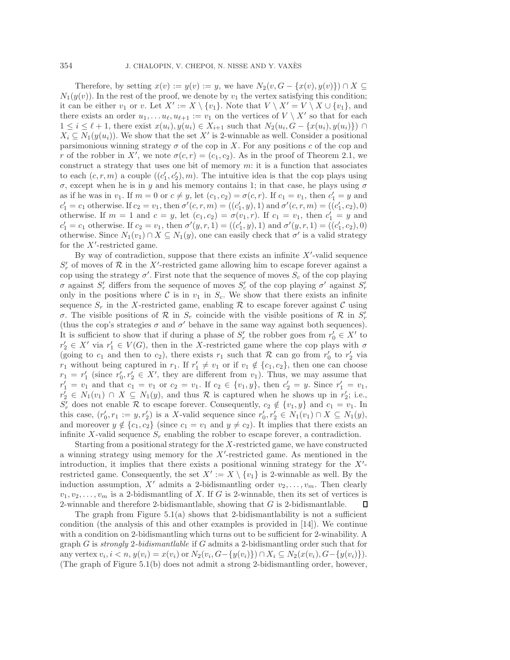Therefore, by setting  $x(v) := y(v) := y$ , we have  $N_2(v, G - \{x(v), y(v)\}) \cap X \subseteq$  $N_1(y(v))$ . In the rest of the proof, we denote by  $v_1$  the vertex satisfying this condition; it can be either  $v_1$  or v. Let  $X' := X \setminus \{v_1\}$ . Note that  $V \setminus X' = V \setminus X \cup \{v_1\}$ , and there exists an order  $u_1,\ldots u_{\ell}, u_{\ell+1} := v_1$  on the vertices of  $V \setminus X'$  so that for each  $1 \leq i \leq \ell + 1$ , there exist  $x(u_i), y(u_i) \in X_{i+1}$  such that  $N_2(u_i, G - \{x(u_i), y(u_i)\}) \cap$  $X_i \subseteq N_1(y(u_i))$ . We show that the set X' is 2-winnable as well. Consider a positional parsimonious winning strategy  $\sigma$  of the cop in X. For any positions c of the cop and r of the robber in X', we note  $\sigma(c, r)=(c_1, c_2)$ . As in the proof of Theorem 2.1, we construct a strategy that uses one bit of memory  $m$ : it is a function that associates to each  $(c, r, m)$  a couple  $((c'_1, c'_2), m)$ . The intuitive idea is that the cop plays using σ, except when he is in y and his memory contains 1; in that case, he plays using σ as if he was in  $v_1$ . If  $m = 0$  or  $c \neq y$ , let  $(c_1, c_2) = \sigma(c, r)$ . If  $c_1 = v_1$ , then  $c'_1 = y$  and  $c'_1 = c_1$  otherwise. If  $c_2 = v_1$ , then  $\sigma'(c, r, m) = ((c'_1, y), 1)$  and  $\sigma'(c, r, m) = ((c'_1, c_2), 0)$ otherwise. If  $m = 1$  and  $c = y$ , let  $(c_1, c_2) = \sigma(v_1, r)$ . If  $c_1 = v_1$ , then  $c'_1 = y$  and  $c'_1 = c_1$  otherwise. If  $c_2 = v_1$ , then  $\sigma'(y, r, 1) = ((c'_1, y), 1)$  and  $\sigma'(y, r, 1) = ((c'_1, c_2), 0)$ otherwise. Since  $N_1(v_1) \cap X \subseteq N_1(y)$ , one can easily check that  $\sigma'$  is a valid strategy for the  $X'$ -restricted game.

By way of contradiction, suppose that there exists an infinite  $X'$ -valid sequence  $S'_r$  of moves of  $R$  in the X'-restricted game allowing him to escape forever against a cop using the strategy  $\sigma'$ . First note that the sequence of moves  $S_c$  of the cop playing σ against  $S'_r$  differs from the sequence of moves  $S'_c$  of the cop playing σ' against  $S'_r$ only in the positions where C is in  $v_1$  in  $S_c$ . We show that there exists an infinite sequence  $S_r$  in the X-restricted game, enabling R to escape forever against C using σ. The visible positions of R in  $S_r$  coincide with the visible positions of R in  $S'_r$ (thus the cop's strategies  $\sigma$  and  $\sigma'$  behave in the same way against both sequences). It is sufficient to show that if during a phase of  $S'_r$  the robber goes from  $r'_0 \in X'$  to  $r'_2 \in X'$  via  $r'_1 \in V(G)$ , then in the X-restricted game where the cop plays with  $\sigma$ (going to  $c_1$  and then to  $c_2$ ), there exists  $r_1$  such that  $R$  can go from  $r'_0$  to  $r'_2$  via  $r_1$  without being captured in  $r_1$ . If  $r'_1 \neq v_1$  or if  $v_1 \notin \{c_1, c_2\}$ , then one can choose  $r_1 = r'_1$  (since  $r'_0, r'_2 \in X'$ , they are different from  $v_1$ ). Thus, we may assume that  $r'_1 = v_1$  and that  $c_1 = v_1$  or  $c_2 = v_1$ . If  $c_2 \in \{v_1, y\}$ , then  $c'_2 = y$ . Since  $r'_1 = v_1$ ,  $r'_2 \in N_1(v_1) \cap X \subseteq N_1(y)$ , and thus R is captured when he shows up in  $r'_2$ ; i.e.,  $S'_r$  does not enable R to escape forever. Consequently,  $c_2 \notin \{v_1, y\}$  and  $c_1 = v_1$ . In this case,  $(r'_0, r_1 := y, r'_2)$  is a X-valid sequence since  $r'_0, r'_2 \in N_1(v_1) \cap X \subseteq N_1(y)$ , and moreover  $y \notin \{c_1, c_2\}$  (since  $c_1 = v_1$  and  $y \neq c_2$ ). It implies that there exists an infinite X-valid sequence  $S_r$  enabling the robber to escape forever, a contradiction.

Starting from a positional strategy for the X-restricted game, we have constructed a winning strategy using memory for the  $X'$ -restricted game. As mentioned in the introduction, it implies that there exists a positional winning strategy for the  $X'$ restricted game. Consequently, the set  $X' := X \setminus \{v_1\}$  is 2-winnable as well. By the induction assumption, X' admits a 2-bidismantling order  $v_2, \ldots, v_m$ . Then clearly  $v_1, v_2, \ldots, v_m$  is a 2-bidismantling of X. If G is 2-winnable, then its set of vertices is 2-winnable and therefore 2-bidismantlable, showing that  $G$  is 2-bidismantlable. Д

The graph from Figure 5.1(a) shows that 2-bidismantlability is not a sufficient condition (the analysis of this and other examples is provided in [14]). We continue with a condition on 2-bidismantling which turns out to be sufficient for 2-winability. A graph G is *strongly* 2*-bidismantlable* if G admits a 2-bidismantling order such that for any vertex  $v_i, i < n$ ,  $y(v_i) = x(v_i)$  or  $N_2(v_i, G - \{y(v_i)\}) \cap X_i \subseteq N_2(x(v_i), G - \{y(v_i)\})$ . (The graph of Figure 5.1(b) does not admit a strong 2-bidismantling order, however,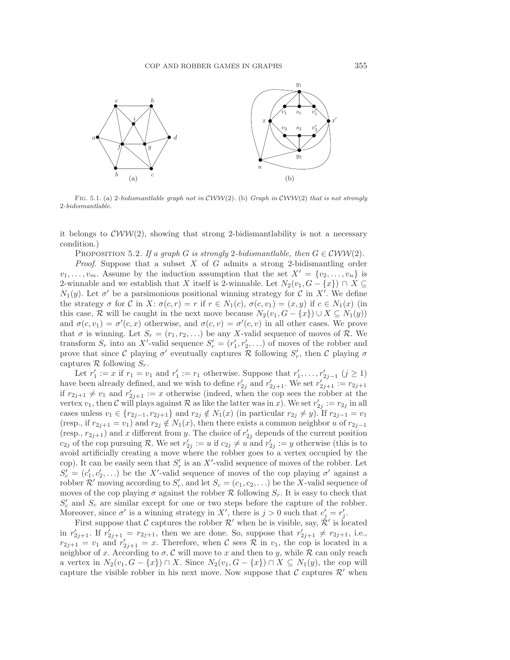

Fig. 5.1. (a) 2*-bidismantlable graph not in* CWW(2)*.* (b) *Graph in* CWW(2) *that is not strongly* 2*-bidismantlable.*

it belongs to  $\mathcal{C}WW(2)$ , showing that strong 2-bidismantlability is not a necessary condition.)

PROPOSITION 5.2. If a graph G is strongly 2*-bidismantlable, then*  $G \in \mathcal{CWW}(2)$ .

*Proof*. Suppose that a subset X of G admits a strong 2-bidismantling order  $v_1,\ldots,v_m$ . Assume by the induction assumption that the set  $X' = \{v_2,\ldots,v_n\}$  is 2-winnable and we establish that X itself is 2-winnable. Let  $N_2(v_1, G - \{x\}) \cap X \subseteq$  $N_1(y)$ . Let  $\sigma'$  be a parsimonious positional winning strategy for C in X'. We define the strategy  $\sigma$  for C in X:  $\sigma(c, r) = r$  if  $r \in N_1(c), \sigma(c, v_1) = (x, y)$  if  $c \in N_1(x)$  (in this case, R will be caught in the next move because  $N_2(v_1, G - \{x\}) \cup X \subseteq N_1(y)$ and  $\sigma(c, v_1) = \sigma'(c, x)$  otherwise, and  $\sigma(c, v) = \sigma'(c, v)$  in all other cases. We prove that  $\sigma$  is winning. Let  $S_r = (r_1, r_2, \ldots)$  be any X-valid sequence of moves of R. We transform  $S_r$  into an X'-valid sequence  $S'_r = (r'_1, r'_2, \ldots)$  of moves of the robber and prove that since C playing  $\sigma'$  eventually captures R following  $S'_r$ , then C playing  $\sigma$ captures  $\mathcal R$  following  $S_r$ .

Let  $r'_1 := x$  if  $r_1 = v_1$  and  $r'_1 := r_1$  otherwise. Suppose that  $r'_1, \ldots, r'_{2j-1}$   $(j \geq 1)$ have been already defined, and we wish to define  $r'_{2j}$  and  $r'_{2j+1}$ . We set  $r'_{2j+1} := r_{2j+1}$ if  $r_{2j+1} \neq v_1$  and  $r'_{2j+1} := x$  otherwise (indeed, when the cop sees the robber at the vertex  $v_1$ , then C will plays against R as like the latter was in x). We set  $r'_{2j} := r_{2j}$  in all cases unless  $v_1 \in \{r_{2j-1}, r_{2j+1}\}\$  and  $r_{2j} \notin N_1(x)$  (in particular  $r_{2j} \neq y$ ). If  $r_{2j-1} = v_1$ (resp., if  $r_{2j+1} = v_1$ ) and  $r_{2j} \notin N_1(x)$ , then there exists a common neighbor u of  $r_{2j-1}$ (resp.,  $r_{2j+1}$ ) and x different from y. The choice of  $r'_{2j}$  depends of the current position  $c_{2j}$  of the cop pursuing R. We set  $r'_{2j} := u$  if  $c_{2j} \neq u$  and  $r'_{2j} := y$  otherwise (this is to avoid artificially creating a move where the robber goes to a vertex occupied by the cop). It can be easily seen that  $S'_r$  is an X'-valid sequence of moves of the robber. Let  $S'_{c} = (c'_{1}, c'_{2},...)$  be the X'-valid sequence of moves of the cop playing  $\sigma'$  against a robber  $\mathcal{R}'$  moving according to  $S'_r$ , and let  $S_c = (c_1, c_2, \ldots)$  be the X-valid sequence of moves of the cop playing  $\sigma$  against the robber  $\mathcal R$  following  $S_r$ . It is easy to check that  $S_c$  and  $S_c$  are similar except for one or two steps before the capture of the robber. Moreover, since  $\sigma'$  is a winning strategy in X', there is  $j > 0$  such that  $c'_j = r'_j$ .

First suppose that C captures the robber  $\mathcal{R}'$  when he is visible, say,  $\mathcal{R}'$  is located in  $r'_{2j+1}$ . If  $r'_{2j+1} = r_{2j+1}$ , then we are done. So, suppose that  $r'_{2j+1} \neq r_{2j+1}$ , i.e.,  $r_{2j+1} = v_1$  and  $r'_{2j+1} = x$ . Therefore, when C sees R in  $v_1$ , the cop is located in a neighbor of x. According to  $\sigma$ , C will move to x and then to y, while R can only reach a vertex in  $N_2(v_1, G - \{x\}) \cap X$ . Since  $N_2(v_1, G - \{x\}) \cap X \subseteq N_1(y)$ , the cop will capture the visible robber in his next move. Now suppose that  $\mathcal C$  captures  $\mathcal R'$  when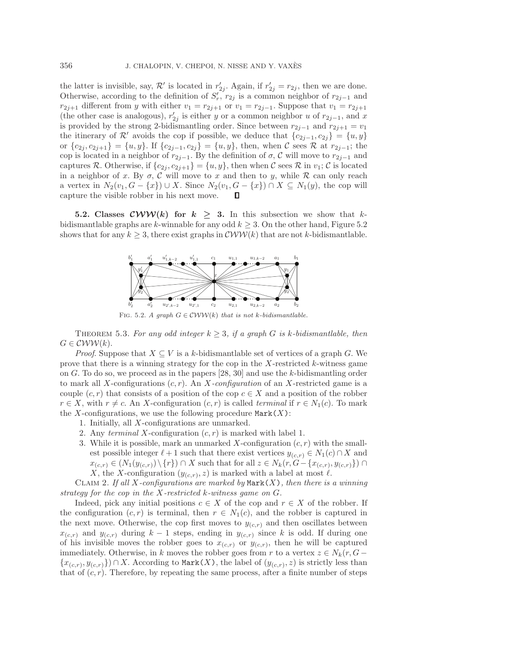the latter is invisible, say,  $\mathcal{R}'$  is located in  $r'_{2j}$ . Again, if  $r'_{2j} = r_{2j}$ , then we are done. Otherwise, according to the definition of  $S'_r, r_{2j}$  is a common neighbor of  $r_{2j-1}$  and  $r_{2j+1}$  different from y with either  $v_1 = r_{2j+1}$  or  $v_1 = r_{2j-1}$ . Suppose that  $v_1 = r_{2j+1}$ (the other case is analogous),  $r'_{2j}$  is either y or a common neighbor u of  $r_{2j-1}$ , and x is provided by the strong 2-bidismantling order. Since between  $r_{2j-1}$  and  $r_{2j+1} = v_1$ the itinerary of  $\mathcal{R}'$  avoids the cop if possible, we deduce that  ${c_{2j-1}, c_{2j}} = {u, y}$ or  ${c_{2j}, c_{2j+1}} = {u, y}$ . If  ${c_{2j-1}, c_{2j}} = {u, y}$ , then, when C sees R at  $r_{2j-1}$ ; the cop is located in a neighbor of  $r_{2j-1}$ . By the definition of  $\sigma$ , C will move to  $r_{2j-1}$  and captures R. Otherwise, if  $\{c_{2j}, c_{2j+1}\} = \{u, y\}$ , then when C sees R in  $v_1$ ; C is located in a neighbor of x. By  $\sigma$ , C will move to x and then to y, while R can only reach a vertex in  $N_2(v_1, G - \{x\}) \cup X$ . Since  $N_2(v_1, G - \{x\}) \cap X \subseteq N_1(y)$ , the cop will capture the visible robber in his next move. П

**5.2. Classes CWW**(k) for  $k \geq 3$ . In this subsection we show that kbidismantlable graphs are k-winnable for any odd  $k \geq 3$ . On the other hand, Figure 5.2 shows that for any  $k \geq 3$ , there exist graphs in  $\mathcal{CWW}(k)$  that are not k-bidismantlable.



FIG. 5.2. *A graph*  $G \in \mathcal{C}WW(k)$  *that is not k-bidismantlable.* 

THEOREM 5.3. For any odd integer  $k \geq 3$ , if a graph G is k-bidismantlable, then  $G \in \mathcal{C}WW(k).$ 

*Proof.* Suppose that  $X \subseteq V$  is a k-bidismantlable set of vertices of a graph G. We prove that there is a winning strategy for the cop in the  $X$ -restricted  $k$ -witness game on G. To do so, we proceed as in the papers [28, 30] and use the k-bidismantling order to mark all X-configurations (c, r). An X*-configuration* of an X-restricted game is a couple  $(c, r)$  that consists of a position of the cop  $c \in X$  and a position of the robber  $r \in X$ , with  $r \neq c$ . An X-configuration  $(c, r)$  is called *terminal* if  $r \in N_1(c)$ . To mark the X-configurations, we use the following procedure  $\text{Mark}(X)$ :

- 1. Initially, all X-configurations are unmarked.
- 2. Any *terminal* X-configuration (c, r) is marked with label 1.
- 3. While it is possible, mark an unmarked X-configuration  $(c, r)$  with the smallest possible integer  $\ell + 1$  such that there exist vertices  $y_{(c,r)} \in N_1(c) \cap X$  and  $x_{(c,r)} \in (N_1(y_{(c,r)}) \setminus \{r\}) \cap X$  such that for all  $z \in N_k(r, G - \{x_{(c,r)}, y_{(c,r)}\}) \cap X$ X, the X-configuration  $(y_{(c,r)}, z)$  is marked with a label at most  $\ell$ .

Claim 2. *If all* X*-configurations are marked by* Mark(X)*, then there is a winning strategy for the cop in the* X*-restricted* k*-witness game on* G*.*

Indeed, pick any initial positions  $c \in X$  of the cop and  $r \in X$  of the robber. If the configuration  $(c, r)$  is terminal, then  $r \in N_1(c)$ , and the robber is captured in the next move. Otherwise, the cop first moves to  $y_{(c,r)}$  and then oscillates between  $x_{(c,r)}$  and  $y_{(c,r)}$  during  $k-1$  steps, ending in  $y_{(c,r)}$  since k is odd. If during one of his invisible moves the robber goes to  $x_{(c,r)}$  or  $y_{(c,r)}$ , then he will be captured immediately. Otherwise, in k moves the robber goes from r to a vertex  $z \in N_k(r, G {x_{(c,r), y_{(c,r)}}$ ) ∩ X. According to Mark(X), the label of  $(y_{(c,r)}, z)$  is strictly less than that of  $(c, r)$ . Therefore, by repeating the same process, after a finite number of steps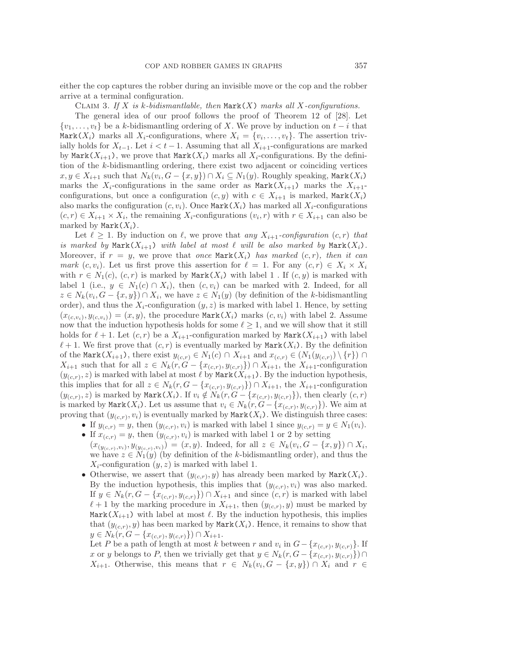either the cop captures the robber during an invisible move or the cop and the robber arrive at a terminal configuration.

Claim 3. *If* X *is* k*-bidismantlable, then* Mark(X) *marks all* X*-configurations.*

The general idea of our proof follows the proof of Theorem 12 of [28]. Let  $\{v_1,\ldots,v_t\}$  be a k-bidismantling ordering of X. We prove by induction on  $t-i$  that Mark $(X_i)$  marks all  $X_i$ -configurations, where  $X_i = \{v_i, \ldots, v_t\}$ . The assertion trivially holds for  $X_{t-1}$ . Let  $i < t-1$ . Assuming that all  $X_{i+1}$ -configurations are marked by Mark $(X_{i+1})$ , we prove that Mark $(X_i)$  marks all  $X_i$ -configurations. By the definition of the k-bidismantling ordering, there exist two adjacent or coinciding vertices  $x, y \in X_{i+1}$  such that  $N_k(v_i, G - \{x, y\}) \cap X_i \subseteq N_1(y)$ . Roughly speaking, Mark $(X_i)$ marks the  $X_i$ -configurations in the same order as  $\text{Mark}(X_{i+1})$  marks the  $X_{i+1}$ configurations, but once a configuration  $(c, y)$  with  $c \in X_{i+1}$  is marked, Mark $(X_i)$ also marks the configuration  $(c, v_i)$ . Once Mark $(X_i)$  has marked all  $X_i$ -configurations  $(c, r) \in X_{i+1} \times X_i$ , the remaining  $X_i$ -configurations  $(v_i, r)$  with  $r \in X_{i+1}$  can also be marked by  $\text{Mark}(X_i)$ .

Let  $\ell \geq 1$ . By induction on  $\ell$ , we prove that *any*  $X_{i+1}$ -configuration  $(c, r)$  that *is marked by*  $\text{Mark}(X_{i+1})$  *with label at most*  $\ell$  *will be also marked by*  $\text{Mark}(X_i)$ *.* Moreover, if  $r = y$ , we prove that *once* Mark $(X_i)$  *has marked*  $(c, r)$ *, then it can mark*  $(c, v_i)$ . Let us first prove this assertion for  $\ell = 1$ . For any  $(c, r) \in X_i \times X_i$ with  $r \in N_1(c)$ ,  $(c, r)$  is marked by Mark $(X_i)$  with label 1. If  $(c, y)$  is marked with label 1 (i.e.,  $y \in N_1(c) \cap X_i$ ), then  $(c, v_i)$  can be marked with 2. Indeed, for all  $z \in N_k(v_i, G - \{x, y\}) \cap X_i$ , we have  $z \in N_1(y)$  (by definition of the k-bidismantling order), and thus the  $X_i$ -configuration  $(y, z)$  is marked with label 1. Hence, by setting  $(x_{(c,v_i)}, y_{(c,v_i)})=(x, y)$ , the procedure Mark $(X_i)$  marks  $(c, v_i)$  with label 2. Assume now that the induction hypothesis holds for some  $\ell \geq 1$ , and we will show that it still holds for  $\ell + 1$ . Let  $(c, r)$  be a  $X_{i+1}$ -configuration marked by  $\text{Mark}(X_{i+1})$  with label  $\ell + 1$ . We first prove that  $(c, r)$  is eventually marked by Mark $(X_i)$ . By the definition of the Mark $(X_{i+1})$ , there exist  $y_{(c,r)} \in N_1(c) \cap X_{i+1}$  and  $x_{(c,r)} \in (N_1(y_{(c,r)}) \setminus \{r\}) \cap$  $X_{i+1}$  such that for all  $z \in N_k(r, G - \{x_{(c,r)}, y_{(c,r)}\}) \cap X_{i+1}$ , the  $X_{i+1}$ -configuration  $(y_{(c,r)}, z)$  is marked with label at most  $\ell$  by Mark $(X_{i+1})$ . By the induction hypothesis, this implies that for all  $z \in N_k(r, G - \{x_{(c,r)}, y_{(c,r)}\}) \cap X_{i+1}$ , the  $X_{i+1}$ -configuration  $(y_{(c,r)}, z)$  is marked by  $\text{Mark}(X_i)$ . If  $v_i \notin N_k(r, G - \{x_{(c,r)}, y_{(c,r)}\})$ , then clearly  $(c, r)$ is marked by Mark $(X_i)$ . Let us assume that  $v_i \in N_k(r, G - \{x_{(c,r)}, y_{(c,r)}\})$ . We aim at proving that  $(y_{(c,r)}, v_i)$  is eventually marked by Mark $(X_i)$ . We distinguish three cases:

- If  $y_{(c,r)} = y$ , then  $(y_{(c,r)}, v_i)$  is marked with label 1 since  $y_{(c,r)} = y \in N_1(v_i)$ . • If  $x_{(c,r)} = y$ , then  $(y_{(c,r)}, v_i)$  is marked with label 1 or 2 by setting
- $(x_{(y_{(c,r)},v_i)}, y_{(y_{(c,r)},v_i)}) = (x, y)$ . Indeed, for all  $z \in N_k(v_i, G \{x, y\}) \cap X_i$ , we have  $z \in N_1(y)$  (by definition of the k-bidismantling order), and thus the  $X_i$ -configuration  $(y, z)$  is marked with label 1.
- Otherwise, we assert that  $(y_{(c,r)}, y)$  has already been marked by Mark $(X_i)$ . By the induction hypothesis, this implies that  $(y_{(c,r)}, v_i)$  was also marked. If  $y \in N_k(r, G - \{x_{(c,r)}, y_{(c,r)}\}) \cap X_{i+1}$  and since  $(c, r)$  is marked with label  $\ell + 1$  by the marking procedure in  $X_{i+1}$ , then  $(y_{(c,r)}, y)$  must be marked by Mark $(X_{i+1})$  with label at most  $\ell$ . By the induction hypothesis, this implies that  $(y_{(c,r)}, y)$  has been marked by Mark $(X_i)$ . Hence, it remains to show that  $y \in N_k(r, G - \{x_{(c,r)}, y_{(c,r)}\}) \cap X_{i+1}.$

Let P be a path of length at most k between r and  $v_i$  in  $G - \{x_{(c,r)}, y_{(c,r)}\}$ . If x or y belongs to P, then we trivially get that  $y \in N_k(r, G - \{x_{(c,r)}, y_{(c,r)}\}) \cap$  $X_{i+1}$ . Otherwise, this means that  $r \in N_k(v_i, G - \{x, y\}) \cap X_i$  and  $r \in$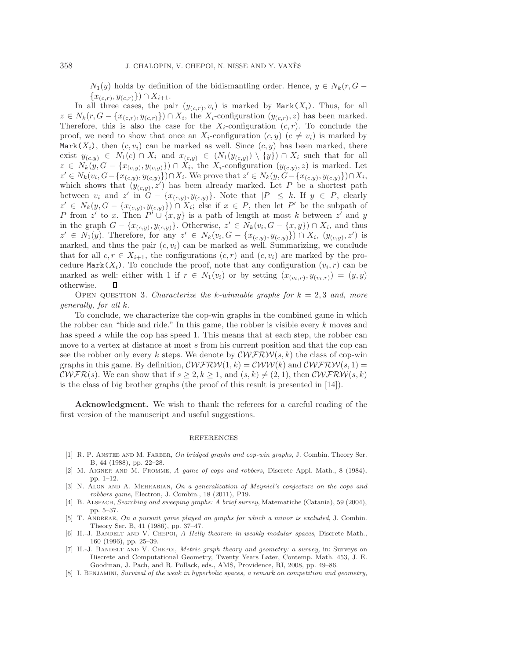$N_1(y)$  holds by definition of the bidismantling order. Hence,  $y \in N_k(r, G \{x_{(c,r)}, y_{(c,r)}\}\cap X_{i+1}.$ 

In all three cases, the pair  $(y_{(c,r)}, v_i)$  is marked by Mark $(X_i)$ . Thus, for all  $z \in N_k(r, G - \{x_{(c,r)}, y_{(c,r)}\}) \cap X_i$ , the  $X_i$ -configuration  $(y_{(c,r)}, z)$  has been marked. Therefore, this is also the case for the  $X_i$ -configuration  $(c, r)$ . To conclude the proof, we need to show that once an  $X_i$ -configuration  $(c, y)$   $(c \neq v_i)$  is marked by Mark $(X_i)$ , then  $(c, v_i)$  can be marked as well. Since  $(c, y)$  has been marked, there exist  $y_{(c,y)} \in N_1(c) \cap X_i$  and  $x_{(c,y)} \in (N_1(y_{(c,y)}) \setminus \{y\}) \cap X_i$  such that for all  $z \in N_k(y, G - \{x_{(c,y)}, y_{(c,y)}\}) \cap X_i$ , the  $X_i$ -configuration  $(y_{(c,y)}, z)$  is marked. Let  $z' \in N_k(v_i, G - \{x_{(c,y)}, y_{(c,y)}\}) \cap X_i$ . We prove that  $z' \in N_k(y, G - \{x_{(c,y)}, y_{(c,y)}\}) \cap X_i$ , which shows that  $(y_{(c,y)}, z')$  has been already marked. Let P be a shortest path between  $v_i$  and  $z'$  in  $G - \{x_{(c,y)}, y_{(c,y)}\}$ . Note that  $|P| \leq k$ . If  $y \in P$ , clearly  $z' \in N_k(y, G - \{x_{(c,y)}, y_{(c,y)}\}) \cap X_i$ ; else if  $x \in P$ , then let P' be the subpath of P from z' to x. Then  $P' \cup \{x, y\}$  is a path of length at most k between z' and y in the graph  $G - \{x_{(c,y)}, y_{(c,y)}\}$ . Otherwise,  $z' \in N_k(v_i, G - \{x, y\}) \cap X_i$ , and thus  $z' \in N_1(y)$ . Therefore, for any  $z' \in N_k(v_i, G - \{x_{(c,y)}, y_{(c,y)}\}) \cap X_i, (y_{(c,y)}, z')$  is marked, and thus the pair  $(c, v_i)$  can be marked as well. Summarizing, we conclude that for all  $c, r \in X_{i+1}$ , the configurations  $(c, r)$  and  $(c, v_i)$  are marked by the procedure Mark $(X_i)$ . To conclude the proof, note that any configuration  $(v_i, r)$  can be marked as well: either with 1 if  $r \in N_1(v_i)$  or by setting  $(x_{(v_i,r)}, y_{(v_i,r)}) = (y, y)$ otherwise. Ц

Open question 3. *Characterize the* k*-winnable graphs for* k = 2, 3 *and, more generally, for all* k*.*

To conclude, we characterize the cop-win graphs in the combined game in which the robber can "hide and ride." In this game, the robber is visible every k moves and has speed s while the cop has speed 1. This means that at each step, the robber can move to a vertex at distance at most s from his current position and that the cop can see the robber only every k steps. We denote by  $\mathcal{C}\mathcal{W}\mathcal{FRW}(s,k)$  the class of cop-win graphs in this game. By definition,  $\mathcal{C}\mathcal{WFRW}(1,k) = \mathcal{C}\mathcal{W}\mathcal{W}(k)$  and  $\mathcal{C}\mathcal{WFRW}(s, 1) =$  $\mathcal{C}\mathcal{WFR}(s)$ . We can show that if  $s \geq 2, k \geq 1$ , and  $(s, k) \neq (2, 1)$ , then  $\mathcal{C}\mathcal{WFRW}(s, k)$ is the class of big brother graphs (the proof of this result is presented in [14]).

**Acknowledgment.** We wish to thank the referees for a careful reading of the first version of the manuscript and useful suggestions.

## REFERENCES

- [1] R. P. Anstee and M. Farber, *On bridged graphs and cop-win graphs*, J. Combin. Theory Ser. B, 44 (1988), pp. 22–28.
- [2] M. Aigner and M. Fromme, *A game of cops and robbers*, Discrete Appl. Math., 8 (1984), pp. 1–12.
- [3] N. Alon and A. Mehrabian, *On a generalization of Meyniel's conjecture on the cops and robbers game*, Electron, J. Combin., 18 (2011), P19.
- [4] B. Alspach, *Searching and sweeping graphs: A brief survey*, Matematiche (Catania), 59 (2004), pp. 5–37.
- [5] T. Andreae, *On a pursuit game played on graphs for which a minor is excluded*, J. Combin. Theory Ser. B, 41 (1986), pp. 37–47.
- [6] H.-J. Bandelt and V. Chepoi, *A Helly theorem in weakly modular spaces*, Discrete Math., 160 (1996), pp. 25–39.
- [7] H.-J. Bandelt and V. Chepoi, *Metric graph theory and geometry: a survey,* in: Surveys on Discrete and Computational Geometry, Twenty Years Later, Contemp. Math. 453, J. E. Goodman, J. Pach, and R. Pollack, eds., AMS, Providence, RI, 2008, pp. 49–86.
- [8] I. Benjamini, *Survival of the weak in hyperbolic spaces, a remark on competition and geometry*,